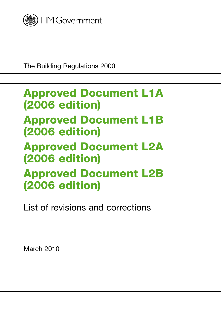

The Building Regulations 2000

# Approved Document L1A (2006 edition) Approved Document L1B (2006 edition) Approved Document L2A (2006 edition) Approved Document L2B (2006 edition)

List of revisions and corrections

March 2010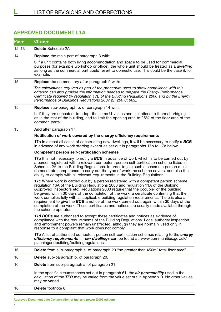## **Approved Document L1A**

| Page      | <b>Change</b>                                                                                                                                                                                                                                                                                                                                                                                                                                                                                                                                                                                                                                                                  |
|-----------|--------------------------------------------------------------------------------------------------------------------------------------------------------------------------------------------------------------------------------------------------------------------------------------------------------------------------------------------------------------------------------------------------------------------------------------------------------------------------------------------------------------------------------------------------------------------------------------------------------------------------------------------------------------------------------|
| $12 - 13$ | <b>Delete</b> Schedule 2A.                                                                                                                                                                                                                                                                                                                                                                                                                                                                                                                                                                                                                                                     |
| 14        | <b>Replace</b> the main part of paragraph 3 with:                                                                                                                                                                                                                                                                                                                                                                                                                                                                                                                                                                                                                              |
|           | <b>3</b> If a unit contains both living accommodation and space to be used for commercial<br>purposes (for example workshop or office), the whole unit should be treated as a dwelling<br>as long as the commercial part could revert to domestic use. This could be the case if, for<br>example:                                                                                                                                                                                                                                                                                                                                                                              |
| 15        | <b>Replace</b> the commentary after paragraph 9 with:                                                                                                                                                                                                                                                                                                                                                                                                                                                                                                                                                                                                                          |
|           | The calculations required as part of the procedure used to show compliance with this<br>criterion can also provide the information needed to prepare the Energy Performance<br>Certificate required by regulation 17E of the Building Regulations 2000 and by the Energy<br>Performance of Buildings Regulations 2007 (SI 2007/1669).                                                                                                                                                                                                                                                                                                                                          |
| 15        | <b>Replace</b> sub-paragraph b. of paragraph 14 with:                                                                                                                                                                                                                                                                                                                                                                                                                                                                                                                                                                                                                          |
|           | b. if they are unheated, to adopt the same U-values and limitations to thermal bridging<br>as in the rest of the building, and to limit the opening area to 25% of the floor area of the<br>common parts.                                                                                                                                                                                                                                                                                                                                                                                                                                                                      |
| 15        | <b>Add</b> after paragraph 17:                                                                                                                                                                                                                                                                                                                                                                                                                                                                                                                                                                                                                                                 |
|           | Notification of work covered by the energy efficiency requirements                                                                                                                                                                                                                                                                                                                                                                                                                                                                                                                                                                                                             |
|           | <b>17a</b> In almost all cases of constructing new dwellings, it will be necessary to notify a <b>BCB</b><br>in advance of any work starting except as set out in paragraphs 17b to 17e below.                                                                                                                                                                                                                                                                                                                                                                                                                                                                                 |
|           | <b>Competent person self-certification schemes</b>                                                                                                                                                                                                                                                                                                                                                                                                                                                                                                                                                                                                                             |
|           | 17b It is not necessary to notify a BCB in advance of work which is to be carried out by<br>a person registered with a relevant competent person self-certification scheme listed in<br>Schedule 2A to the Building Regulations. In order to join such a scheme a person must<br>demonstrate competence to carry out the type of work the scheme covers, and also the<br>ability to comply with all relevant requirements in the Building Regulations.                                                                                                                                                                                                                         |
|           | 17c Where work is carried out by a person registered with a competent person scheme,<br>regulation 16A of the Building Regulations 2000 and regulation 11A of the Building<br>(Approved Inspectors etc) Regulations 2000 require that the occupier of the building<br>be given, within 30 days of the completion of the work, a certificate confirming that the<br>work complies fully with all applicable building regulation requirements. There is also a<br>requirement to give the BCB a notice of the work carried out, again within 30 days of the<br>completion of the work. These certificates and notices are usually made available through<br>the scheme operator. |
|           | 17d BCBs are authorised to accept these certificates and notices as evidence of<br>compliance with the requirements of the Building Regulations. Local authority inspection<br>and enforcement powers remain unaffected, although they are normally used only in<br>response to a complaint that work does not comply.                                                                                                                                                                                                                                                                                                                                                         |
|           | 17e A list of authorised competent person self-certification schemes relating to the <i>energy</i><br>efficiency requirements in new dwellings can be found at: www.communities.gov.uk/<br>planningandbuilding/buildingregulations.                                                                                                                                                                                                                                                                                                                                                                                                                                            |
| 16        | Delete from sub-paragraph a. of paragraph 20 "no greater than 450m <sup>2</sup> total floor area".                                                                                                                                                                                                                                                                                                                                                                                                                                                                                                                                                                             |
| 16        | Delete sub-paragraph b. of paragraph 20.                                                                                                                                                                                                                                                                                                                                                                                                                                                                                                                                                                                                                                       |
| 16        | <b>Delete</b> from sub-paragraph a. of paragraph 21:                                                                                                                                                                                                                                                                                                                                                                                                                                                                                                                                                                                                                           |
|           | In the specific circumstances set out in paragraph 61, the <i>air permeability</i> used in the<br>calculation of the TER may be varied from the value set out in Appendix R. No other values<br>may be varied.                                                                                                                                                                                                                                                                                                                                                                                                                                                                 |
| 16        | Delete footnote 8.                                                                                                                                                                                                                                                                                                                                                                                                                                                                                                                                                                                                                                                             |
|           |                                                                                                                                                                                                                                                                                                                                                                                                                                                                                                                                                                                                                                                                                |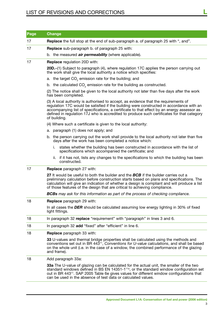# List of revisions and corrections **L**

| Page | <b>Change</b>                                                                                                                                                                                                                                                                                                                                                                               |
|------|---------------------------------------------------------------------------------------------------------------------------------------------------------------------------------------------------------------------------------------------------------------------------------------------------------------------------------------------------------------------------------------------|
| 17   | <b>Replace</b> the full stop at the end of sub-paragraph a. of paragraph 25 with ", and".                                                                                                                                                                                                                                                                                                   |
| 17   | <b>Replace</b> sub-paragraph b. of paragraph 25 with:                                                                                                                                                                                                                                                                                                                                       |
|      | b. the measured <i>air permeability</i> (where applicable).                                                                                                                                                                                                                                                                                                                                 |
| 17   | Replace regulation 20D with:                                                                                                                                                                                                                                                                                                                                                                |
|      | 20D.–(1) Subject to paragraph (4), where regulation 17C applies the person carrying out<br>the work shall give the local authority a notice which specifies:                                                                                                                                                                                                                                |
|      | a. the target CO <sub>2</sub> emission rate for the building; and                                                                                                                                                                                                                                                                                                                           |
|      | b. the calculated $CO2$ emission rate for the building as constructed.                                                                                                                                                                                                                                                                                                                      |
|      | (2) The notice shall be given to the local authority not later than five days after the work<br>has been completed.                                                                                                                                                                                                                                                                         |
|      | (3) A local authority is authorised to accept, as evidence that the requirements of<br>regulation 17C would be satisfied if the building were constructed in accordance with an<br>accompanying list of specifications, a certificate to that effect by an energy assessor as<br>defined in regulation 17J who is accredited to produce such certificates for that category<br>of building. |
|      | (4) Where such a certificate is given to the local authority:                                                                                                                                                                                                                                                                                                                               |
|      | a. paragraph (1) does not apply; and                                                                                                                                                                                                                                                                                                                                                        |
|      | b. the person carrying out the work shall provide to the local authority not later than five<br>days after the work has been completed a notice which:                                                                                                                                                                                                                                      |
|      | states whether the building has been constructed in accordance with the list of<br>İ.<br>specifications which accompanied the certificate; and                                                                                                                                                                                                                                              |
|      | ii. if it has not, lists any changes to the specifications to which the building has been<br>constructed.                                                                                                                                                                                                                                                                                   |
| 17   | <b>Replace</b> paragraph 27 with:                                                                                                                                                                                                                                                                                                                                                           |
|      | 27 It would be useful to both the builder and the <b>BCB</b> if the builder carries out a<br>preliminary calculation before construction starts based on plans and specifications. The<br>calculation will give an indication of whether a design is compliant and will produce a list<br>of those features of the design that are critical to achieving compliance.                        |
|      | <b>BCBs</b> may ask for this information as part of the process of checking compliance                                                                                                                                                                                                                                                                                                      |
| 18   | <b>Replace</b> paragraph 29 with:                                                                                                                                                                                                                                                                                                                                                           |
|      | In all cases the DER should be calculated assuming low energy lighting in 30% of fixed<br>light fittings.                                                                                                                                                                                                                                                                                   |
| 18   | In paragraph 32 replace "requirement" with "paragraph" in lines 3 and 6.                                                                                                                                                                                                                                                                                                                    |
| 18   | In paragraph 32 add "fixed" after "efficient" in line 6.                                                                                                                                                                                                                                                                                                                                    |
| 18   | <b>Replace</b> paragraph 33 with:                                                                                                                                                                                                                                                                                                                                                           |
|      | 33 U-values and thermal bridge properties shall be calculated using the methods and<br>conventions set out in BR 443 <sup>11</sup> , Conventions for U-value calculations, and shall be based<br>on the whole unit (i.e. in the case of a window, the combined performance of the glazing<br>and frame).                                                                                    |
| 18   | Add paragraph 33a:                                                                                                                                                                                                                                                                                                                                                                          |
|      | 33a The U-value of glazing can be calculated for the actual unit, the smaller of the two<br>standard windows defined in BS EN 14351-1 <sup>11a</sup> , or the standard window configuration set<br>out in BR 443 <sup>11</sup> . SAP 2005 Table 6e gives values for different window configurations that<br>can be used in the absence of test data or calculated values.                   |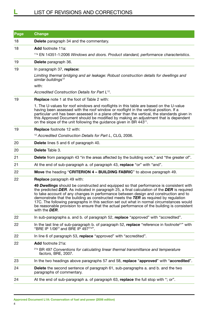# LIST OF REVISIONS AND CORRECTIONS

| 18<br><b>Delete</b> paragraph 34 and the commentary.<br>18<br>Add footnote 11a:<br><sup>11a</sup> EN 14351-1:2006 Windows and doors. Product standard, performance characteristics.<br>19<br>Delete paragraph 36.<br>19<br>In paragraph 37, replace:<br>Limiting thermal bridging and air leakage: Robust construction details for dwellings and<br>similar buildings <sup>12</sup><br>with:<br>Accredited Construction Details for Part L <sup>12</sup> .<br>19<br>Replace note 1 at the foot of Table 2 with:<br>1. The U-values for roof windows and rooflights in this table are based on the U-value<br>having been assessed with the roof window or rooflight in the vertical position. If a<br>particular unit has been assessed in a plane other than the vertical, the standards given in<br>this Approved Document should be modified by making an adjustment that is dependent<br>on the slope of the unit following the guidance given in BR 443 <sup>11</sup> .<br>19<br><b>Replace</b> footnote 12 with:<br><sup>12</sup> Accredited Construction Details for Part L, CLG, 2006.<br>20<br><b>Delete</b> lines 5 and 6 of paragraph 40.<br>Delete Table 3.<br>20<br>Delete from paragraph 43 "in the areas affected by the building work," and "the greater of".<br>21<br>21<br>At the end of sub-paragraph a. of paragraph 43, replace "or" with "and".<br>22<br>Move the heading "CRITERION 4 - BUILDING FABRIC" to above paragraph 49.<br>22<br><b>Replace</b> paragraph 49 with:<br>to take account of any changes in performance between design and construction and to<br>demonstrate that the building as constructed meets the TER as required by regulation<br>17C. The following paragraphs in this section set out what in normal circumstances would<br>with the DER.<br>In sub-paragraphs a. and b. of paragraph 52, replace "approved" with "accredited".<br>22<br>22<br>In the last line of sub-paragraph b. of paragraph 52, replace "reference in footnote <sup>21</sup> " with<br>"BRE IP 1/06 <sup>21</sup> and BRE IP 497 <sup>21a"</sup> .<br>22<br>In line 6 of paragraph 53, replace "approved" with "accredited".<br>Add footnote 21a:<br>22<br><sup>21a</sup> BR 497 Conventions for calculating linear thermal transmittance and temperature<br>factors, BRE, 2007.<br>23<br>24<br>Delete the second sentence of paragraph 61, sub-paragraphs a. and b. and the two<br>paragraphs of commentary.<br>24<br>At the end of sub-paragraph a. of paragraph 63, replace the full stop with "; or". | Page | <b>Change</b>                                                                                                                                                                                                                                                                        |
|-------------------------------------------------------------------------------------------------------------------------------------------------------------------------------------------------------------------------------------------------------------------------------------------------------------------------------------------------------------------------------------------------------------------------------------------------------------------------------------------------------------------------------------------------------------------------------------------------------------------------------------------------------------------------------------------------------------------------------------------------------------------------------------------------------------------------------------------------------------------------------------------------------------------------------------------------------------------------------------------------------------------------------------------------------------------------------------------------------------------------------------------------------------------------------------------------------------------------------------------------------------------------------------------------------------------------------------------------------------------------------------------------------------------------------------------------------------------------------------------------------------------------------------------------------------------------------------------------------------------------------------------------------------------------------------------------------------------------------------------------------------------------------------------------------------------------------------------------------------------------------------------------------------------------------------------------------------------------------------------------------------------------------------------------------------------------------------------------------------------------------------------------------------------------------------------------------------------------------------------------------------------------------------------------------------------------------------------------------------------------------------------------------------------------------------------------------------------------------------------------------------------------------------|------|--------------------------------------------------------------------------------------------------------------------------------------------------------------------------------------------------------------------------------------------------------------------------------------|
|                                                                                                                                                                                                                                                                                                                                                                                                                                                                                                                                                                                                                                                                                                                                                                                                                                                                                                                                                                                                                                                                                                                                                                                                                                                                                                                                                                                                                                                                                                                                                                                                                                                                                                                                                                                                                                                                                                                                                                                                                                                                                                                                                                                                                                                                                                                                                                                                                                                                                                                                     |      |                                                                                                                                                                                                                                                                                      |
|                                                                                                                                                                                                                                                                                                                                                                                                                                                                                                                                                                                                                                                                                                                                                                                                                                                                                                                                                                                                                                                                                                                                                                                                                                                                                                                                                                                                                                                                                                                                                                                                                                                                                                                                                                                                                                                                                                                                                                                                                                                                                                                                                                                                                                                                                                                                                                                                                                                                                                                                     |      |                                                                                                                                                                                                                                                                                      |
|                                                                                                                                                                                                                                                                                                                                                                                                                                                                                                                                                                                                                                                                                                                                                                                                                                                                                                                                                                                                                                                                                                                                                                                                                                                                                                                                                                                                                                                                                                                                                                                                                                                                                                                                                                                                                                                                                                                                                                                                                                                                                                                                                                                                                                                                                                                                                                                                                                                                                                                                     |      |                                                                                                                                                                                                                                                                                      |
|                                                                                                                                                                                                                                                                                                                                                                                                                                                                                                                                                                                                                                                                                                                                                                                                                                                                                                                                                                                                                                                                                                                                                                                                                                                                                                                                                                                                                                                                                                                                                                                                                                                                                                                                                                                                                                                                                                                                                                                                                                                                                                                                                                                                                                                                                                                                                                                                                                                                                                                                     |      |                                                                                                                                                                                                                                                                                      |
|                                                                                                                                                                                                                                                                                                                                                                                                                                                                                                                                                                                                                                                                                                                                                                                                                                                                                                                                                                                                                                                                                                                                                                                                                                                                                                                                                                                                                                                                                                                                                                                                                                                                                                                                                                                                                                                                                                                                                                                                                                                                                                                                                                                                                                                                                                                                                                                                                                                                                                                                     |      |                                                                                                                                                                                                                                                                                      |
|                                                                                                                                                                                                                                                                                                                                                                                                                                                                                                                                                                                                                                                                                                                                                                                                                                                                                                                                                                                                                                                                                                                                                                                                                                                                                                                                                                                                                                                                                                                                                                                                                                                                                                                                                                                                                                                                                                                                                                                                                                                                                                                                                                                                                                                                                                                                                                                                                                                                                                                                     |      |                                                                                                                                                                                                                                                                                      |
|                                                                                                                                                                                                                                                                                                                                                                                                                                                                                                                                                                                                                                                                                                                                                                                                                                                                                                                                                                                                                                                                                                                                                                                                                                                                                                                                                                                                                                                                                                                                                                                                                                                                                                                                                                                                                                                                                                                                                                                                                                                                                                                                                                                                                                                                                                                                                                                                                                                                                                                                     |      |                                                                                                                                                                                                                                                                                      |
|                                                                                                                                                                                                                                                                                                                                                                                                                                                                                                                                                                                                                                                                                                                                                                                                                                                                                                                                                                                                                                                                                                                                                                                                                                                                                                                                                                                                                                                                                                                                                                                                                                                                                                                                                                                                                                                                                                                                                                                                                                                                                                                                                                                                                                                                                                                                                                                                                                                                                                                                     |      |                                                                                                                                                                                                                                                                                      |
|                                                                                                                                                                                                                                                                                                                                                                                                                                                                                                                                                                                                                                                                                                                                                                                                                                                                                                                                                                                                                                                                                                                                                                                                                                                                                                                                                                                                                                                                                                                                                                                                                                                                                                                                                                                                                                                                                                                                                                                                                                                                                                                                                                                                                                                                                                                                                                                                                                                                                                                                     |      |                                                                                                                                                                                                                                                                                      |
|                                                                                                                                                                                                                                                                                                                                                                                                                                                                                                                                                                                                                                                                                                                                                                                                                                                                                                                                                                                                                                                                                                                                                                                                                                                                                                                                                                                                                                                                                                                                                                                                                                                                                                                                                                                                                                                                                                                                                                                                                                                                                                                                                                                                                                                                                                                                                                                                                                                                                                                                     |      |                                                                                                                                                                                                                                                                                      |
|                                                                                                                                                                                                                                                                                                                                                                                                                                                                                                                                                                                                                                                                                                                                                                                                                                                                                                                                                                                                                                                                                                                                                                                                                                                                                                                                                                                                                                                                                                                                                                                                                                                                                                                                                                                                                                                                                                                                                                                                                                                                                                                                                                                                                                                                                                                                                                                                                                                                                                                                     |      |                                                                                                                                                                                                                                                                                      |
|                                                                                                                                                                                                                                                                                                                                                                                                                                                                                                                                                                                                                                                                                                                                                                                                                                                                                                                                                                                                                                                                                                                                                                                                                                                                                                                                                                                                                                                                                                                                                                                                                                                                                                                                                                                                                                                                                                                                                                                                                                                                                                                                                                                                                                                                                                                                                                                                                                                                                                                                     |      |                                                                                                                                                                                                                                                                                      |
|                                                                                                                                                                                                                                                                                                                                                                                                                                                                                                                                                                                                                                                                                                                                                                                                                                                                                                                                                                                                                                                                                                                                                                                                                                                                                                                                                                                                                                                                                                                                                                                                                                                                                                                                                                                                                                                                                                                                                                                                                                                                                                                                                                                                                                                                                                                                                                                                                                                                                                                                     |      |                                                                                                                                                                                                                                                                                      |
|                                                                                                                                                                                                                                                                                                                                                                                                                                                                                                                                                                                                                                                                                                                                                                                                                                                                                                                                                                                                                                                                                                                                                                                                                                                                                                                                                                                                                                                                                                                                                                                                                                                                                                                                                                                                                                                                                                                                                                                                                                                                                                                                                                                                                                                                                                                                                                                                                                                                                                                                     |      |                                                                                                                                                                                                                                                                                      |
|                                                                                                                                                                                                                                                                                                                                                                                                                                                                                                                                                                                                                                                                                                                                                                                                                                                                                                                                                                                                                                                                                                                                                                                                                                                                                                                                                                                                                                                                                                                                                                                                                                                                                                                                                                                                                                                                                                                                                                                                                                                                                                                                                                                                                                                                                                                                                                                                                                                                                                                                     |      |                                                                                                                                                                                                                                                                                      |
|                                                                                                                                                                                                                                                                                                                                                                                                                                                                                                                                                                                                                                                                                                                                                                                                                                                                                                                                                                                                                                                                                                                                                                                                                                                                                                                                                                                                                                                                                                                                                                                                                                                                                                                                                                                                                                                                                                                                                                                                                                                                                                                                                                                                                                                                                                                                                                                                                                                                                                                                     |      |                                                                                                                                                                                                                                                                                      |
|                                                                                                                                                                                                                                                                                                                                                                                                                                                                                                                                                                                                                                                                                                                                                                                                                                                                                                                                                                                                                                                                                                                                                                                                                                                                                                                                                                                                                                                                                                                                                                                                                                                                                                                                                                                                                                                                                                                                                                                                                                                                                                                                                                                                                                                                                                                                                                                                                                                                                                                                     |      |                                                                                                                                                                                                                                                                                      |
|                                                                                                                                                                                                                                                                                                                                                                                                                                                                                                                                                                                                                                                                                                                                                                                                                                                                                                                                                                                                                                                                                                                                                                                                                                                                                                                                                                                                                                                                                                                                                                                                                                                                                                                                                                                                                                                                                                                                                                                                                                                                                                                                                                                                                                                                                                                                                                                                                                                                                                                                     |      |                                                                                                                                                                                                                                                                                      |
|                                                                                                                                                                                                                                                                                                                                                                                                                                                                                                                                                                                                                                                                                                                                                                                                                                                                                                                                                                                                                                                                                                                                                                                                                                                                                                                                                                                                                                                                                                                                                                                                                                                                                                                                                                                                                                                                                                                                                                                                                                                                                                                                                                                                                                                                                                                                                                                                                                                                                                                                     |      | 49 Dwellings should be constructed and equipped so that performance is consistent with<br>the predicted DER. As indicated in paragraph 25, a final calculation of the DER is required<br>be reasonable provision to ensure that the actual performance of the building is consistent |
|                                                                                                                                                                                                                                                                                                                                                                                                                                                                                                                                                                                                                                                                                                                                                                                                                                                                                                                                                                                                                                                                                                                                                                                                                                                                                                                                                                                                                                                                                                                                                                                                                                                                                                                                                                                                                                                                                                                                                                                                                                                                                                                                                                                                                                                                                                                                                                                                                                                                                                                                     |      |                                                                                                                                                                                                                                                                                      |
|                                                                                                                                                                                                                                                                                                                                                                                                                                                                                                                                                                                                                                                                                                                                                                                                                                                                                                                                                                                                                                                                                                                                                                                                                                                                                                                                                                                                                                                                                                                                                                                                                                                                                                                                                                                                                                                                                                                                                                                                                                                                                                                                                                                                                                                                                                                                                                                                                                                                                                                                     |      |                                                                                                                                                                                                                                                                                      |
|                                                                                                                                                                                                                                                                                                                                                                                                                                                                                                                                                                                                                                                                                                                                                                                                                                                                                                                                                                                                                                                                                                                                                                                                                                                                                                                                                                                                                                                                                                                                                                                                                                                                                                                                                                                                                                                                                                                                                                                                                                                                                                                                                                                                                                                                                                                                                                                                                                                                                                                                     |      |                                                                                                                                                                                                                                                                                      |
|                                                                                                                                                                                                                                                                                                                                                                                                                                                                                                                                                                                                                                                                                                                                                                                                                                                                                                                                                                                                                                                                                                                                                                                                                                                                                                                                                                                                                                                                                                                                                                                                                                                                                                                                                                                                                                                                                                                                                                                                                                                                                                                                                                                                                                                                                                                                                                                                                                                                                                                                     |      |                                                                                                                                                                                                                                                                                      |
|                                                                                                                                                                                                                                                                                                                                                                                                                                                                                                                                                                                                                                                                                                                                                                                                                                                                                                                                                                                                                                                                                                                                                                                                                                                                                                                                                                                                                                                                                                                                                                                                                                                                                                                                                                                                                                                                                                                                                                                                                                                                                                                                                                                                                                                                                                                                                                                                                                                                                                                                     |      |                                                                                                                                                                                                                                                                                      |
|                                                                                                                                                                                                                                                                                                                                                                                                                                                                                                                                                                                                                                                                                                                                                                                                                                                                                                                                                                                                                                                                                                                                                                                                                                                                                                                                                                                                                                                                                                                                                                                                                                                                                                                                                                                                                                                                                                                                                                                                                                                                                                                                                                                                                                                                                                                                                                                                                                                                                                                                     |      | In the two headings above paragraphs 57 and 58, replace "approved" with "accredited".                                                                                                                                                                                                |
|                                                                                                                                                                                                                                                                                                                                                                                                                                                                                                                                                                                                                                                                                                                                                                                                                                                                                                                                                                                                                                                                                                                                                                                                                                                                                                                                                                                                                                                                                                                                                                                                                                                                                                                                                                                                                                                                                                                                                                                                                                                                                                                                                                                                                                                                                                                                                                                                                                                                                                                                     |      |                                                                                                                                                                                                                                                                                      |
|                                                                                                                                                                                                                                                                                                                                                                                                                                                                                                                                                                                                                                                                                                                                                                                                                                                                                                                                                                                                                                                                                                                                                                                                                                                                                                                                                                                                                                                                                                                                                                                                                                                                                                                                                                                                                                                                                                                                                                                                                                                                                                                                                                                                                                                                                                                                                                                                                                                                                                                                     |      |                                                                                                                                                                                                                                                                                      |

- **Approved Document L1A: Conservation of fuel and power (2006 edition)**
- 4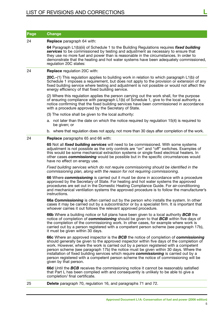| <b>Page</b> | <b>Change</b>                                                                                                                                                                                                                                                                                                                                                                                                                                                                                                                                                                        |
|-------------|--------------------------------------------------------------------------------------------------------------------------------------------------------------------------------------------------------------------------------------------------------------------------------------------------------------------------------------------------------------------------------------------------------------------------------------------------------------------------------------------------------------------------------------------------------------------------------------|
| 24          | Replace paragraph 64 with:                                                                                                                                                                                                                                                                                                                                                                                                                                                                                                                                                           |
|             | 64 Paragraph L1(b)(iii) of Schedule 1 to the Building Regulations requires fixed building<br>services to be commissioned by testing and adjustment as necessary to ensure that<br>they use no more fuel and power than is reasonable in the circumstances. In order to<br>demonstrate that the heating and hot water systems have been adequately commissioned,<br>regulation 20C states:                                                                                                                                                                                            |
| 24          | <b>Replace</b> regulation 20C with:                                                                                                                                                                                                                                                                                                                                                                                                                                                                                                                                                  |
|             | 20C-(1) This regulation applies to building work in relation to which paragraph L1(b) of<br>Schedule 1 imposes a requirement, but does not apply to the provision or extension of any<br>fixed building service where testing and adjustment is not possible or would not affect the<br>energy efficiency of that fixed building service.                                                                                                                                                                                                                                            |
|             | (2) Where this regulation applies the person carrying out the work shall, for the purpose<br>of ensuring compliance with paragraph L1(b) of Schedule 1, give to the local authority a<br>notice confirming that the fixed building services have been commissioned in accordance<br>with a procedure approved by the Secretary of State.                                                                                                                                                                                                                                             |
|             | (3) The notice shall be given to the local authority:                                                                                                                                                                                                                                                                                                                                                                                                                                                                                                                                |
|             | a. not later than the date on which the notice required by regulation 15(4) is required to<br>be given; or                                                                                                                                                                                                                                                                                                                                                                                                                                                                           |
|             | b. where that regulation does not apply, not more than 30 days after completion of the work.                                                                                                                                                                                                                                                                                                                                                                                                                                                                                         |
| 24          | <b>Replace</b> paragraphs 65 and 66 with:                                                                                                                                                                                                                                                                                                                                                                                                                                                                                                                                            |
|             | 65 Not all <i>fixed building services</i> will need to be commissioned. With some systems<br>adjustment is not possible as the only controls are "on" and "off" switches. Examples of<br>this would be some mechanical extraction systems or single fixed electrical heaters. In<br>other cases commissioning would be possible but in the specific circumstances would<br>have no effect on energy use.                                                                                                                                                                             |
|             | Fixed building services which do not require commissioning should be identified in the<br>commissioning plan, along with the reason for not requiring commissioning.                                                                                                                                                                                                                                                                                                                                                                                                                 |
|             | 66 Where <i>commissioning</i> is carried out it must be done in accordance with a procedure<br>approved by the Secretary of State. For heating and hot water systems the approved<br>procedures are set out in the Domestic Heating Compliance Guide. For air-conditioning<br>and mechanical ventilation systems the approved procedure is to follow the manufacturer's<br>instructions.                                                                                                                                                                                             |
|             | 66a Commissioning is often carried out by the person who installs the system. In other<br>cases it may be carried out by a subcontractor or by a specialist firm. It is important that<br>whoever carries it out follows the relevant approved procedure.                                                                                                                                                                                                                                                                                                                            |
|             | 66b Where a building notice or full plans have been given to a local authority BCB the<br>notice of completion of <i>commissioning</i> should be given to that <b>BCB</b> within five days of<br>the completion of the commissioning work. In other cases, for example where work is<br>carried out by a person registered with a competent person scheme (see paragraph 17b),<br>it must be given within 30 days.                                                                                                                                                                   |
|             | 66c Where an approved inspector is the BCB the notice of completion of commissioning<br>should generally be given to the approved inspector within five days of the completion of<br>work. However, where the work is carried out by a person registered with a competent<br>person scheme (see paragraph 17b) the notice must be given within 30 days. Where the<br>installation of fixed building services which require <b>commissioning</b> is carried out by a<br>person registered with a competent person scheme the notice of commissioning will be<br>given by that person. |
|             | 66d Until the BCB receives the commissioning notice it cannot be reasonably satisfied<br>that Part L has been complied with and consequently is unlikely to be able to give a<br>completion/ final certificate.                                                                                                                                                                                                                                                                                                                                                                      |
| 25          | <b>Delete</b> paragraph 70, regulation 16, and paragraphs 71 and 72.                                                                                                                                                                                                                                                                                                                                                                                                                                                                                                                 |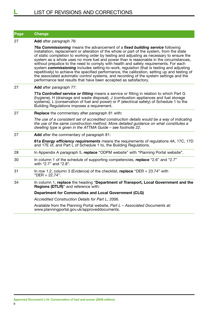| Page | <b>Change</b>                                                                                                                                                                                                                                                                                                                                                                                                                                                                                                                                                                                                                                                                                                                                                                                                            |
|------|--------------------------------------------------------------------------------------------------------------------------------------------------------------------------------------------------------------------------------------------------------------------------------------------------------------------------------------------------------------------------------------------------------------------------------------------------------------------------------------------------------------------------------------------------------------------------------------------------------------------------------------------------------------------------------------------------------------------------------------------------------------------------------------------------------------------------|
| 27   | Add after paragraph 76:                                                                                                                                                                                                                                                                                                                                                                                                                                                                                                                                                                                                                                                                                                                                                                                                  |
|      | 76a Commissioning means the advancement of a fixed building service following<br>installation, replacement or alteration of the whole or part of the system, from the state<br>of static completion to working order by testing and adjusting as necessary to ensure the<br>system as a whole uses no more fuel and power than is reasonable in the circumstances,<br>without prejudice to the need to comply with health and safety requirements. For each<br>system commissioning includes setting-to-work, regulation (that is testing and adjusting<br>repetitively) to achieve the specified performance, the calibration, setting up and testing of<br>the associated automatic control systems, and recording of the system settings and the<br>performance test results that have been accepted as satisfactory. |
| 27   | Add after paragraph 77:                                                                                                                                                                                                                                                                                                                                                                                                                                                                                                                                                                                                                                                                                                                                                                                                  |
|      | 77a Controlled service or fitting means a service or fitting in relation to which Part G<br>(hygiene), H (drainage and waste disposal), J (combustion appliances and fuel storage<br>systems), L (conservation of fuel and power) or P (electrical safety) of Schedule 1 to the<br>Building Regulations imposes a requirement.                                                                                                                                                                                                                                                                                                                                                                                                                                                                                           |
| 27   | <b>Replace</b> the commentary after paragraph 81 with:                                                                                                                                                                                                                                                                                                                                                                                                                                                                                                                                                                                                                                                                                                                                                                   |
|      | The use of a consistent set of accredited construction details would be a way of indicating<br>the use of the same construction method. More detailed guidance on what constitutes a<br>dwelling type is given in the ATTMA Guide - see footnote 22.                                                                                                                                                                                                                                                                                                                                                                                                                                                                                                                                                                     |
| 27   | Add after the commentary of paragraph 81:                                                                                                                                                                                                                                                                                                                                                                                                                                                                                                                                                                                                                                                                                                                                                                                |
|      | 81a Energy efficiency requirements means the requirements of regulations 4A, 17C, 17D<br>and 17E of, and Part L of Schedule 1 to, the Building Regulations.                                                                                                                                                                                                                                                                                                                                                                                                                                                                                                                                                                                                                                                              |
| 28   | In Appendix A paragraph 5, replace "ODPM website" with "Planning Portal website".                                                                                                                                                                                                                                                                                                                                                                                                                                                                                                                                                                                                                                                                                                                                        |
| 30   | In column 1 of the schedule of supporting competencies, replace "2.6" and "2.7"<br>with "2.7" and "2.8".                                                                                                                                                                                                                                                                                                                                                                                                                                                                                                                                                                                                                                                                                                                 |
| 31   | In row 1.2, column 3 (Evidence) of the checklist, replace "DER = $23.74$ " with<br>"DER = $22.74$ ".                                                                                                                                                                                                                                                                                                                                                                                                                                                                                                                                                                                                                                                                                                                     |
| 34   | In column 1, replace the heading "Department of Transport, Local Government and the<br>Regions (DTLR)" and reference with:                                                                                                                                                                                                                                                                                                                                                                                                                                                                                                                                                                                                                                                                                               |
|      | <b>Department for Communities and Local Government (CLG)</b>                                                                                                                                                                                                                                                                                                                                                                                                                                                                                                                                                                                                                                                                                                                                                             |
|      | Accredited Construction Details for Part L, 2006.                                                                                                                                                                                                                                                                                                                                                                                                                                                                                                                                                                                                                                                                                                                                                                        |
|      | Available from the Planning Portal website, Part L - Associated Documents at:<br>www.planningportal.gov.uk/approveddocuments.                                                                                                                                                                                                                                                                                                                                                                                                                                                                                                                                                                                                                                                                                            |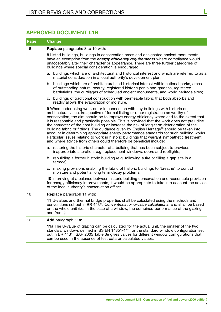### **Approved Document L1B**

#### **Page Change**

16 **Replace** paragraphs 8 to 10 with:

**8** Listed buildings, buildings in conservation areas and designated ancient monuments have an exemption from the *energy efficiency requirements* where compliance would unacceptably alter their character or appearance. There are three further categories of buildings where special consideration is encouraged:

- a. buildings which are of architectural and historical interest and which are referred to as a material consideration in a local authority's development plan;
- b. buildings which are of architectural and historical interest within national parks, areas of outstanding natural beauty, registered historic parks and gardens, registered battlefields, the curtilages of scheduled ancient monuments, and world heritage sites;
- c. buildings of traditional construction with permeable fabric that both absorbs and readily allows the evaporation of moisture.

**9** When undertaking work on or in connection with any buildings with historic or architectural value, irrespective of formal listing or other registration as worthy of conservation, the aim should be to improve energy efficiency where and to the extent that it is reasonable and practically possible. This is provided that the work does not prejudice the character of the host building or increase the risk of long-term deterioration of the building fabric or fittings. The guidance given by English Heritage<sup>10</sup> should be taken into account in determining appropriate energy performance standards for such building works. Particular issues relating to work in historic buildings that warrant sympathetic treatment and where advice from others could therefore be beneficial include:

- a. restoring the historic character of a building that has been subject to previous inappropriate alteration, e.g. replacement windows, doors and rooflights;
- b. rebuilding a former historic building (e.g. following a fire or filling a gap site in a terrace);
- c. making provisions enabling the fabric of historic buildings to 'breathe' to control moisture and potential long term decay problems.

**10** In arriving at a balance between historic building conservation and reasonable provision for energy efficiency improvements, it would be appropriate to take into account the advice of the local authority's conservation officer.

#### 16 **Replace** paragraph 11 with:

**11** U-values and thermal bridge properties shall be calculated using the methods and conventions set out in BR 44311, *Conventions for U-value calculations*, and shall be based on the whole unit (i.e. in the case of a window, the combined performance of the glazing and frame).

#### 16 **Add** paragraph 11a:

**11a** The U-value of glazing can be calculated for the actual unit, the smaller of the two standard windows defined in BS EN 14351-1<sup>11a</sup>, or the standard window configuration set out in BR 44311. SAP 2005 Table 6e gives values for different window configurations that can be used in the absence of test data or calculated values.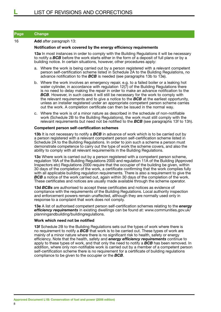#### 16 **Add** after paragraph 13:

#### **Notification of work covered by the energy efficiency requirements**

**13a** In most instances in order to comply with the Building Regulations it will be necessary to notify a *BCB* before the work starts either in the form of a deposit of full plans or by a building notice. In certain situations, however, other procedures apply:

- a. Where the work is being carried out by a person registered with a relevant competent person self-certification scheme listed in Schedule 2A to the Building Regulations, no advance notification to the *BCB* is needed (see paragraphs 13b to 13e).
- b. Where the work involves an emergency repair, e.g. to a failed boiler or a leaking hot water cylinder, in accordance with regulation 12(7) of the Building Regulations there is no need to delay making the repair in order to make an advance notification to the **BCB**. However, in such cases it will still be necessary for the work to comply with the relevant requirements and to give a notice to the *BCB* at the earliest opportunity, unless an installer registered under an appropriate competent person scheme carries out the work. A completion certificate can then be issued in the normal way.
- c. Where the work is of a minor nature as described in the schedule of non-notifiable work (Schedule 2B to the Building Regulations), the work must still comply with the relevant requirements but need not be notified to the *BCB* (see paragraphs 13f to 13h).

#### **Competent person self-certification schemes**

**13b** It is not necessary to notify a **BCB** in advance of work which is to be carried out by a person registered with a relevant competent person self-certification scheme listed in Schedule 2A to the Building Regulations. In order to join such a scheme a person must demonstrate competence to carry out the type of work the scheme covers, and also the ability to comply with all relevant requirements in the Building Regulations.

**13c** Where work is carried out by a person registered with a competent person scheme, regulation 16A of the Building Regulations 2000 and regulation 11A of the Building (Approved Inspectors etc) Regulations 2000 require that the occupier of the building be given, within 30 days of the completion of the work, a certificate confirming that the work complies fully with all applicable building regulation requirements. There is also a requirement to give the **BCB** a notice of the work carried out, again within 30 days of the completion of the work. These certificates and notices are usually made available through the scheme operator.

**13d** *BCBs* are authorised to accept these certificates and notices as evidence of compliance with the requirements of the Building Regulations. Local authority inspection and enforcement powers remain unaffected, although they are normally used only in response to a complaint that work does not comply.

**13e** A list of authorised competent person self-certification schemes relating to the *energy efficiency requirements* in existing dwellings can be found at: www.communities.gov.uk/ planningandbuilding/buildingregulations.

#### **Work which need not be notified**

**13f** Schedule 2B to the Building Regulations sets out the types of work where there is no requirement to notify a *BCB* that work is to be carried out. These types of work are mainly of a minor nature where there is no significant risk to health, safety or energy efficiency. Note that the health, safety and *energy efficiency requirements* continue to apply to these types of work, and that only the need to notify a *BCB* has been removed. In addition, where only non-notifiable work is carried out by a member of a competent person self-certification scheme there is no requirement for a certificate of building regulations compliance to be given to the occupier or the *BCB*.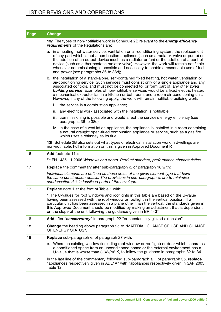| Page | <b>Change</b>                                                                                                                                                                                                                                                                                                                                                                                                                                                                                                                                                          |
|------|------------------------------------------------------------------------------------------------------------------------------------------------------------------------------------------------------------------------------------------------------------------------------------------------------------------------------------------------------------------------------------------------------------------------------------------------------------------------------------------------------------------------------------------------------------------------|
|      | 13g The types of non-notifiable work in Schedule 2B relevant to the <i>energy efficiency</i><br>requirements of the Regulations are:                                                                                                                                                                                                                                                                                                                                                                                                                                   |
|      | a. in a heating, hot water service, ventilation or air-conditioning system, the replacement<br>of any part which is not a combustion appliance (such as a radiator, valve or pump) or<br>the addition of an output device (such as a radiator or fan) or the addition of a control<br>device (such as a thermostatic radiator valve). However, the work will remain notifiable<br>whenever commissioning is possible and necessary to enable a reasonable use of fuel<br>and power (see paragraphs 36 to 38d);                                                         |
|      | b. the installation of a stand-alone, self-contained fixed heating, hot water, ventilation or<br>air-conditioning service. Such services must consist only of a single appliance and any<br>associated controls, and must not be connected to, or form part of, any other fixed<br><b>building service</b> . Examples of non-notifiable services would be a fixed electric heater,<br>a mechanical extractor fan in a kitchen or bathroom, and a room air-conditioning unit.<br>However, if any of the following apply, the work will remain notifiable building work: |
|      | i.<br>the service is a combustion appliance;                                                                                                                                                                                                                                                                                                                                                                                                                                                                                                                           |
|      | ii.<br>any electrical work associated with the installation is notifiable;                                                                                                                                                                                                                                                                                                                                                                                                                                                                                             |
|      | iii. commissioning is possible and would affect the service's energy efficiency (see<br>paragraphs 36 to 38d);                                                                                                                                                                                                                                                                                                                                                                                                                                                         |
|      | iv. in the case of a ventilation appliance, the appliance is installed in a room containing<br>a natural draught open-flued combustion appliance or service, such as a gas fire<br>which uses a chimney as its flue.                                                                                                                                                                                                                                                                                                                                                   |
|      | 13h Schedule 2B also sets out what types of electrical installation work in dwellings are<br>non-notifiable. Full information on this is given in Approved Document P.                                                                                                                                                                                                                                                                                                                                                                                                 |
| 16   | <b>Add</b> footnote 11a:                                                                                                                                                                                                                                                                                                                                                                                                                                                                                                                                               |
|      | <sup>11a</sup> EN 14351-1:2006 Windows and doors. Product standard, performance characteristics.                                                                                                                                                                                                                                                                                                                                                                                                                                                                       |
| 17   | <b>Replace</b> the commentary after sub-paragraph c. of paragraph 18 with:                                                                                                                                                                                                                                                                                                                                                                                                                                                                                             |
|      | Individual elements are defined as those areas of the given element type that have<br>the same construction details. The provisions in sub-paragraph c. are to minimise<br>condensation risk in localised parts of the envelope.                                                                                                                                                                                                                                                                                                                                       |
| 17   | Replace note 1 at the foot of Table 1 with:                                                                                                                                                                                                                                                                                                                                                                                                                                                                                                                            |
|      | 1 The U-values for roof windows and rooflights in this table are based on the U-value<br>having been assessed with the roof window or rooflight in the vertical position. If a<br>particular unit has been assessed in a plane other than the vertical, the standards given in<br>this Approved Document should be modified by making an adjustment that is dependent<br>on the slope of the unit following the guidance given in BR 443 <sup>11</sup> .                                                                                                               |
| 18   | Add after "conservatory" in paragraph 22 "or substantially glazed extension".                                                                                                                                                                                                                                                                                                                                                                                                                                                                                          |
| 18   | <b>Change</b> the heading above paragraph 25 to "MATERIAL CHANGE OF USE AND CHANGE<br>OF ENERGY STATUS".                                                                                                                                                                                                                                                                                                                                                                                                                                                               |
| 18   | <b>Replace</b> sub-paragraph e. of paragraph 27 with:                                                                                                                                                                                                                                                                                                                                                                                                                                                                                                                  |
|      | e. Where an existing window (including roof window or rooflight) or door which separates<br>a conditioned space from an unconditioned space or the external environment has a<br>U-value that is worse than $3.3W/m2$ .K, to follow the guidance in paragraphs 32 to 34.                                                                                                                                                                                                                                                                                               |
| 20   | In the last line of the commentary following sub-paragraph a.ii. of paragraph 35, replace<br>"appliances respectively given in ADL1A" with "appliances respectively given in SAP 2005<br>Table 12."                                                                                                                                                                                                                                                                                                                                                                    |
|      |                                                                                                                                                                                                                                                                                                                                                                                                                                                                                                                                                                        |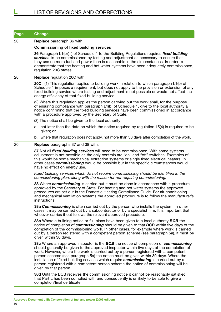| <b>Page</b> | <b>Change</b>                                                                                                                                                                                                                                                                                                                                                                                                   |
|-------------|-----------------------------------------------------------------------------------------------------------------------------------------------------------------------------------------------------------------------------------------------------------------------------------------------------------------------------------------------------------------------------------------------------------------|
| 20          | <b>Replace</b> paragraph 36 with:                                                                                                                                                                                                                                                                                                                                                                               |
|             | <b>Commissioning of fixed building services</b>                                                                                                                                                                                                                                                                                                                                                                 |
|             | 36 Paragraph L1(b)(iii) of Schedule 1 to the Building Regulations requires fixed building<br>services to be commissioned by testing and adjustment as necessary to ensure that<br>they use no more fuel and power than is reasonable in the circumstances. In order to<br>demonstrate that the heating and hot water systems have been adequately commissioned,<br>regulation 20C states:                       |
| 20          | <b>Replace regulation 20C with:</b>                                                                                                                                                                                                                                                                                                                                                                             |
|             | 20C.–(1) This regulation applies to building work in relation to which paragraph L1(b) of<br>Schedule 1 imposes a requirement, but does not apply to the provision or extension of any<br>fixed building service where testing and adjustment is not possible or would not affect the<br>energy efficiency of that fixed building service.                                                                      |
|             | (2) Where this regulation applies the person carrying out the work shall, for the purpose<br>of ensuring compliance with paragraph L1(b) of Schedule 1, give to the local authority a<br>notice confirming that the fixed building services have been commissioned in accordance<br>with a procedure approved by the Secretary of State.                                                                        |
|             | (3) The notice shall be given to the local authority:                                                                                                                                                                                                                                                                                                                                                           |
|             | a. not later than the date on which the notice required by regulation 15(4) is required to be<br>given; or                                                                                                                                                                                                                                                                                                      |
|             | b. where that regulation does not apply, not more than 30 days after completion of the work.                                                                                                                                                                                                                                                                                                                    |
| 20          | <b>Replace</b> paragraphs 37 and 38 with:                                                                                                                                                                                                                                                                                                                                                                       |
|             | 37 Not all <i>fixed building services</i> will need to be commissioned. With some systems<br>adjustment is not possible as the only controls are "on" and "off" switches. Examples of<br>this would be some mechanical extraction systems or single fixed electrical heaters. In<br>other cases <i>commissioning</i> would be possible but in the specific circumstances would<br>have no effect on energy use. |
|             | Fixed building services which do not require commissioning should be identified in the<br>commissioning plan, along with the reason for not requiring commissioning.                                                                                                                                                                                                                                            |
|             | 38 Where commissioning is carried out it must be done in accordance with a procedure<br>approved by the Secretary of State. For heating and hot water systems the approved<br>procedures are set out in the Domestic Heating Compliance Guide. For air-conditioning<br>and mechanical ventilation systems the approved procedure is to follow the manufacturer's                                                |

**38a** *Commissioning* is often carried out by the person who installs the system. In other cases it may be carried out by a subcontractor or by a specialist firm. It is important that whoever carries it out follows the relevant approved procedure.

**38b** Where a building notice or full plans have been given to a local authority *BCB* the notice of completion of *commissioning* should be given to that *BCB* within five days of the completion of the commissioning work. In other cases, for example where work is carried out by a person registered with a competent person scheme (see paragraph 5a), it must be given within 30 days.

**38c** Where an approved inspector is the *BCB* the notice of completion of *commissioning* should generally be given to the approved inspector within five days of the completion of work. However, where the work is carried out by a person registered with a competent person scheme (see paragraph 5a) the notice must be given within 30 days. Where the installation of fixed building services which require *commissioning* is carried out by a person registered with a competent person scheme the notice of commissioning will be given by that person.

**38d** Until the BCB receives the commissioning notice it cannot be reasonably satisfied that Part L has been complied with and consequently is unlikely to be able to give a completion/final certificate.

instructions.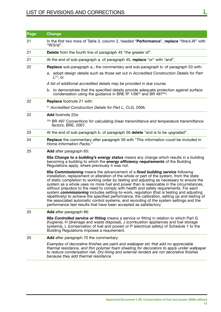# List of revisions and corrections **L**

| Page | <b>Change</b>                                                                                                                                                                                                                                                                                                                                                                                                                                                                                                                                                                                                                                                                                                                                                                                                            |
|------|--------------------------------------------------------------------------------------------------------------------------------------------------------------------------------------------------------------------------------------------------------------------------------------------------------------------------------------------------------------------------------------------------------------------------------------------------------------------------------------------------------------------------------------------------------------------------------------------------------------------------------------------------------------------------------------------------------------------------------------------------------------------------------------------------------------------------|
| 21   | In the first two rows of Table 3, column 2, headed "Performance", replace "litre/s.W" with<br>"W/(I/s)".                                                                                                                                                                                                                                                                                                                                                                                                                                                                                                                                                                                                                                                                                                                 |
| 21   | Delete from the fourth line of paragraph 45 "the greater of".                                                                                                                                                                                                                                                                                                                                                                                                                                                                                                                                                                                                                                                                                                                                                            |
| 21   | At the end of sub-paragraph a. of paragraph 45, replace "or" with "and".                                                                                                                                                                                                                                                                                                                                                                                                                                                                                                                                                                                                                                                                                                                                                 |
| 22   | <b>Replace</b> sub-paragraph a., the commentary and sub-paragraph b. of paragraph 53 with:                                                                                                                                                                                                                                                                                                                                                                                                                                                                                                                                                                                                                                                                                                                               |
|      | a. adopt design details such as those set out in Accredited Construction Details for Part<br>$L^{21}$ ; or                                                                                                                                                                                                                                                                                                                                                                                                                                                                                                                                                                                                                                                                                                               |
|      | A list of additional accredited details may be provided in due course.                                                                                                                                                                                                                                                                                                                                                                                                                                                                                                                                                                                                                                                                                                                                                   |
|      | b. to demonstrate that the specified details provide adequate protection against surface<br>condensation using the guidance in BRE IP 1/06 <sup>22</sup> and BR 497 <sup>22a</sup> .                                                                                                                                                                                                                                                                                                                                                                                                                                                                                                                                                                                                                                     |
| 22   | <b>Replace footnote 21 with:</b>                                                                                                                                                                                                                                                                                                                                                                                                                                                                                                                                                                                                                                                                                                                                                                                         |
|      | <sup>21</sup> Accredited Construction Details for Part L, CLG, 2006.                                                                                                                                                                                                                                                                                                                                                                                                                                                                                                                                                                                                                                                                                                                                                     |
| 22   | Add footnote 22a:                                                                                                                                                                                                                                                                                                                                                                                                                                                                                                                                                                                                                                                                                                                                                                                                        |
|      | <sup>22a</sup> BR 497 Conventions for calculating linear transmittance and temperature transmittance<br>factors, BRE, 2007.                                                                                                                                                                                                                                                                                                                                                                                                                                                                                                                                                                                                                                                                                              |
| 23   | At the end of sub-paragraph b. of paragraph 56 delete "and is to be upgraded".                                                                                                                                                                                                                                                                                                                                                                                                                                                                                                                                                                                                                                                                                                                                           |
| 24   | Replace the commentary after paragraph 59 with "This information could be included in<br>Home Information Packs."                                                                                                                                                                                                                                                                                                                                                                                                                                                                                                                                                                                                                                                                                                        |
| 25   | <b>Add</b> after paragraph 65:                                                                                                                                                                                                                                                                                                                                                                                                                                                                                                                                                                                                                                                                                                                                                                                           |
|      | 65a Change to a building's energy status means any change which results in a building<br>becoming a building to which the <i>energy efficiency requirements</i> of the Building<br>Regulations apply, where previously it was not.                                                                                                                                                                                                                                                                                                                                                                                                                                                                                                                                                                                       |
|      | 65a Commissioning means the advancement of a fixed building service following<br>installation, replacement or alteration of the whole or part of the system, from the state<br>of static completion to working order by testing and adjusting as necessary to ensure the<br>system as a whole uses no more fuel and power than is reasonable in the circumstances,<br>without prejudice to the need to comply with health and safety requirements. For each<br>system commissioning includes setting-to-work, regulation (that is testing and adjusting<br>repetitively) to achieve the specified performance, the calibration, setting up and testing of<br>the associated automatic control systems, and recording of the system settings and the<br>performance test results that have been accepted as satisfactory. |
| 25   | Add after paragraph 66:                                                                                                                                                                                                                                                                                                                                                                                                                                                                                                                                                                                                                                                                                                                                                                                                  |
|      | 66a Controlled service or fitting means a service or fitting in relation to which Part G<br>(hygiene), H (drainage and waste disposal), J (combustion appliances and fuel storage<br>systems), L (conservation of fuel and power) or P (electrical safety) of Schedule 1 to the<br>Building Regulations imposes a requirement.                                                                                                                                                                                                                                                                                                                                                                                                                                                                                           |
| 25   | Add after paragraph 70 the commentary:                                                                                                                                                                                                                                                                                                                                                                                                                                                                                                                                                                                                                                                                                                                                                                                   |
|      | Examples of decorative finishes are paint and wallpaper etc that add no appreciable<br>thermal resistance, and thin polymer foam sheeting for decorators to apply under wallpaper<br>to reduce condensation risk. Dry-lining and external renders are not decorative finishes<br>because they add thermal resistance.                                                                                                                                                                                                                                                                                                                                                                                                                                                                                                    |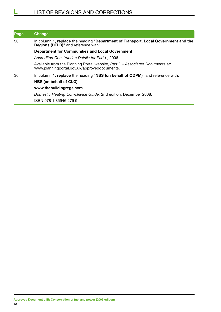| Page | Change                                                                                                                             |
|------|------------------------------------------------------------------------------------------------------------------------------------|
| 30   | In column 1, replace the heading "Department of Transport, Local Government and the<br><b>Regions (DTLR)</b> " and reference with: |
|      | <b>Department for Communities and Local Government</b>                                                                             |
|      | Accredited Construction Details for Part L, 2006,                                                                                  |
|      | Available from the Planning Portal website, Part L - Associated Documents at:<br>www.planningportal.gov.uk/approveddocuments.      |
| 30   | In column 1, replace the heading "NBS (on behalf of ODPM)" and reference with:                                                     |
|      | NBS (on behalf of CLG)                                                                                                             |
|      | www.thebuildingregs.com                                                                                                            |
|      | Domestic Heating Compliance Guide, 2nd edition, December 2008.                                                                     |
|      | ISBN 978 1 85946 279 9                                                                                                             |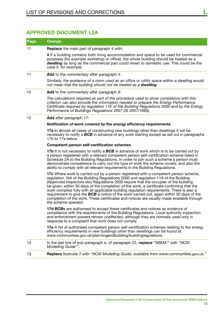## **Approved Document L2A**

|    | <b>Change</b>                                                                                                                                                                                                                                                                                                                                                                                                                                                                                                                                                                                                                                                                                |
|----|----------------------------------------------------------------------------------------------------------------------------------------------------------------------------------------------------------------------------------------------------------------------------------------------------------------------------------------------------------------------------------------------------------------------------------------------------------------------------------------------------------------------------------------------------------------------------------------------------------------------------------------------------------------------------------------------|
| 11 | <b>Replace</b> the main part of paragraph 4 with:                                                                                                                                                                                                                                                                                                                                                                                                                                                                                                                                                                                                                                            |
|    | 4 If a building contains both living accommodation and space to be used for commercial<br>purposes (for example workshop or office), the whole building should be treated as a<br><b>dwelling</b> as long as the commercial part could revert to domestic use. This could be the<br>case if, for example:                                                                                                                                                                                                                                                                                                                                                                                    |
| 11 | Add to the commentary after paragraph 4:                                                                                                                                                                                                                                                                                                                                                                                                                                                                                                                                                                                                                                                     |
|    | Similarly, the existence of a room used as an office or utility space within a dwelling would<br>not mean that the building should not be treated as a dwelling.                                                                                                                                                                                                                                                                                                                                                                                                                                                                                                                             |
| 12 | Add to the commentary after paragraph 8:                                                                                                                                                                                                                                                                                                                                                                                                                                                                                                                                                                                                                                                     |
|    | The calculations required as part of the procedure used to show compliance with this<br>criterion can also provide the information needed to prepare the Energy Performance<br>Certificate required by regulation 17E of the Building Regulations 2000 and by the Energy<br>Performance of Buildings Regulations 2007 (SI 2007/1669).                                                                                                                                                                                                                                                                                                                                                        |
| 12 | Add after paragraph 17:                                                                                                                                                                                                                                                                                                                                                                                                                                                                                                                                                                                                                                                                      |
|    | Notification of work covered by the energy efficiency requirements                                                                                                                                                                                                                                                                                                                                                                                                                                                                                                                                                                                                                           |
|    | 17a In almost all cases of constructing new buildings other than dwellings it will be<br>necessary to notify a <b>BCB</b> in advance of any work starting except as set out in paragraphs<br>17b to 17e below.                                                                                                                                                                                                                                                                                                                                                                                                                                                                               |
|    | <b>Competent person self-certification schemes</b>                                                                                                                                                                                                                                                                                                                                                                                                                                                                                                                                                                                                                                           |
|    | <b>17b</b> It is not necessary to notify a <b>BCB</b> in advance of work which is to be carried out by<br>a person registered with a relevant competent person self-certification scheme listed in<br>Schedule 2A to the Building Regulations. In order to join such a scheme a person must<br>demonstrate competence to carry out the type of work the scheme covers, and also the<br>ability to comply with all relevant requirements in the Building Regulations.                                                                                                                                                                                                                         |
|    | <b>17c</b> Where work is carried out by a person registered with a competent person scheme,<br>regulation 16A of the Building Regulations 2000 and regulation 11A of the Building<br>(Approved Inspectors etc) Regulations 2000 require that the occupier of the building<br>be given, within 30 days of the completion of the work, a certificate confirming that the<br>work complies fully with all applicable building regulation requirements. There is also a<br>requirement to give the <b>BCB</b> a notice of the work carried out, again within 30 days of the<br>completion of the work. These certificates and notices are usually made available through<br>the scheme operator. |
|    | 17d BCBs are authorised to accept these certificates and notices as evidence of<br>compliance with the requirements of the Building Regulations. Local authority inspection<br>and enforcement powers remain unaffected, although they are normally used only in<br>response to a complaint that work does not comply.                                                                                                                                                                                                                                                                                                                                                                       |
|    | 17e A list of authorised competent person self-certification schemes relating to the energy<br>efficiency requirements in new buildings other than dwellings can be found at:<br>www.communities.gov.uk/planningandbuilding/buildingregulations.                                                                                                                                                                                                                                                                                                                                                                                                                                             |
| 13 | In the last line of sub-paragraph e. of paragraph 22, replace "SBEM7" with "NCM<br>Modelling Guide <sup>7"</sup> .                                                                                                                                                                                                                                                                                                                                                                                                                                                                                                                                                                           |
| 13 | Replace footnote 7 with "NCM Modelling Guide, available from www.communities.gov.uk."                                                                                                                                                                                                                                                                                                                                                                                                                                                                                                                                                                                                        |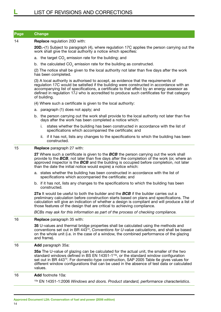14 **Replace** regulation 20D with:

**20D.**–(1) Subject to paragraph (4), where regulation 17C applies the person carrying out the work shall give the local authority a notice which specifies:

- a. the target CO<sub>2</sub> emission rate for the building; and
- b. the calculated  $CO_2$  emission rate for the building as constructed.

(2) The notice shall be given to the local authority not later than five days after the work has been completed.

(3) A local authority is authorised to accept, as evidence that the requirements of regulation 17C would be satisfied if the building were constructed in accordance with an accompanying list of specifications, a certificate to that effect by an energy assessor as defined in regulation 17J who is accredited to produce such certificates for that category of building.

- (4) Where such a certificate is given to the local authority:
- a. paragraph (1) does not apply; and
- b. the person carrying out the work shall provide to the local authority not later than five days after the work has been completed a notice which:
	- i. states whether the building has been constructed in accordance with the list of specifications which accompanied the certificate; and
	- ii. if it has not, lists any changes to the specifications to which the building has been constructed.

#### 15 **Replace** paragraph 27 with:

**27** Where such a certificate is given to the *BCB* the person carrying out the work shall provide to the *BCB*, not later than five days after the completion of the work (or, where an approved inspector is the *BCB* and the building is occupied before completion, not later than the date the initial notice would expire) a notice which:

- a. states whether the building has been constructed in accordance with the list of specifications which accompanied the certificate; and
- b. if it has not, lists any changes to the specifications to which the building has been constructed.

**27a** It would be useful to both the builder and the *BCB* if the builder carries out a preliminary calculation before construction starts based on plans and specifications. The calculation will give an indication of whether a design is compliant and will produce a list of those features of the design that are critical to achieving compliance.

*BCBs may ask for this information as part of the process of checking compliance.*

#### 16 **Replace** paragraph 35 with:

**35** U-values and thermal bridge properties shall be calculated using the methods and conventions set out in BR 44310, *Conventions for U-value calculations*, and shall be based on the whole unit (i.e. in the case of a window, the combined performance of the glazing and frame).

16 **Add** paragraph 35a:

**35a** The U-value of glazing can be calculated for the actual unit, the smaller of the two standard windows defined in BS EN 14351-1<sup>10a</sup>, or the standard window configuration set out in BR 443<sup>10</sup>. For domestic-type construction, SAP 2005 Table 6e gives values for different window configurations that can be used in the absence of test data or calculated values.

#### 16 **Add** footnote 10a:

10a EN 14351-1:2006 *Windows and doors. Product standard, performance characteristics*.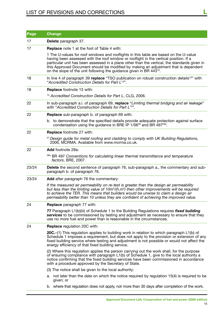| Page  | <b>Change</b>                                                                                                                                                                                                                                                                                                                                                                                                                                            |
|-------|----------------------------------------------------------------------------------------------------------------------------------------------------------------------------------------------------------------------------------------------------------------------------------------------------------------------------------------------------------------------------------------------------------------------------------------------------------|
| 17    | Delete paragraph 37.                                                                                                                                                                                                                                                                                                                                                                                                                                     |
| 17    | <b>Replace</b> note 1 at the foot of Table 4 with:                                                                                                                                                                                                                                                                                                                                                                                                       |
|       | 1 The U-values for roof windows and rooflights in this table are based on the U-value<br>having been assessed with the roof window or rooflight in the vertical position. If a<br>particular unit has been assessed in a plane other than the vertical, the standards given in<br>this Approved Document should be modified by making an adjustment that is dependent<br>on the slope of the unit following the guidance given in BR 443 <sup>10</sup> . |
| 18    | In line 4 of paragraph 39 replace "TSO publication on robust construction details <sup>13"</sup> with<br>"Accredited Construction Details for Part L <sup>13</sup> ".                                                                                                                                                                                                                                                                                    |
| 18    | <b>Replace footnote 13 with:</b>                                                                                                                                                                                                                                                                                                                                                                                                                         |
|       | <sup>13</sup> Accredited Construction Details for Part L, CLG, 2006.                                                                                                                                                                                                                                                                                                                                                                                     |
| 22    | In sub-paragraph a.i. of paragraph 69, replace "Limiting thermal bridging and air leakage"<br>with "Accredited Construction Details for Part L <sup>13</sup> ".                                                                                                                                                                                                                                                                                          |
| 22    | <b>Replace</b> sub-paragraph b. of paragraph 69 with:                                                                                                                                                                                                                                                                                                                                                                                                    |
|       | b. to demonstrate that the specified details provide adequate protection against surface<br>condensation using the guidance in BRE IP 1/06 <sup>28</sup> and BR 497 <sup>28a</sup> .                                                                                                                                                                                                                                                                     |
| 22    | <b>Replace footnote 27 with:</b>                                                                                                                                                                                                                                                                                                                                                                                                                         |
|       | <sup>27</sup> Design guide for metal roofing and cladding to comply with UK Building Regulations,<br>2006, MCRMA. Available from www.mcrma.co.uk.                                                                                                                                                                                                                                                                                                        |
| 22    | <b>Add</b> footnote 28a:                                                                                                                                                                                                                                                                                                                                                                                                                                 |
|       | <sup>28a</sup> BR 497 Conventions for calculating linear thermal transmittance and temperature<br>factors, BRE, 2007.                                                                                                                                                                                                                                                                                                                                    |
| 23/24 | <b>Delete</b> the second sentence of paragraph 76, sub-paragraph a., the commentary and sub-<br>paragraph b. of paragraph 76.                                                                                                                                                                                                                                                                                                                            |
| 23/24 | <b>Add</b> after paragraph 76 the commentary:                                                                                                                                                                                                                                                                                                                                                                                                            |
|       | If the measured air permeability on re-test is greater than the design air permeability<br>but less than the limiting value of 10 $m^3/(h.m^2)$ then other improvements will be required<br>to achieve the TER. This means that builders would be unwise to claim a design air<br>permeability better than 10 unless they are confident of achieving the improved value.                                                                                 |
| 24    | <b>Replace</b> paragraph 77 with:                                                                                                                                                                                                                                                                                                                                                                                                                        |
|       | 77 Paragraph L1(b)(iii) of Schedule 1 to the Building Regulations requires fixed building<br>services to be commissioned by testing and adjustment as necessary to ensure that they<br>use no more fuel and power than is reasonable in the circumstances.                                                                                                                                                                                               |
| 24    | <b>Replace</b> regulation 20C with:                                                                                                                                                                                                                                                                                                                                                                                                                      |
|       | 20C.–(1) This regulation applies to building work in relation to which paragraph L1(b) of<br>Schedule 1 imposes a requirement, but does not apply to the provision or extension of any<br>fixed building service where testing and adjustment is not possible or would not affect the<br>energy efficiency of that fixed building service.                                                                                                               |
|       | (2) Where this regulation applies the person carrying out the work shall, for the purpose<br>of ensuring compliance with paragraph L1(b) of Schedule 1, give to the local authority a<br>notice confirming that the fixed building services have been commissioned in accordance<br>with a procedure approved by the Secretary of State.                                                                                                                 |
|       | (3) The notice shall be given to the local authority:                                                                                                                                                                                                                                                                                                                                                                                                    |
|       | not later than the date on which the notice required by regulation 15(4) is required to be<br>а.<br>given; or                                                                                                                                                                                                                                                                                                                                            |
|       | b. where that regulation does not apply, not more than 30 days after completion of the work.                                                                                                                                                                                                                                                                                                                                                             |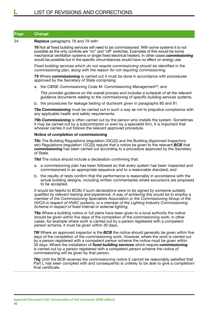#### 24 **Replace** paragraphs 78 and 79 with:

**78** Not all fixed building services will need to be commissioned. With some systems it is not possible as the only controls are "on" and "off" switches. Examples of this would be some mechanical ventilation systems or single fixed electrical heaters. In other cases *commissioning* would be possible but in the specific circumstances would have no effect on energy use.

*Fixed building services which do not require commissioning should be identified in the commissioning plan, along with the reason for not requiring commissioning.*

**79** Where *commissioning* is carried out it must be done in accordance with procedures approved by the Secretary of State comprising:

a. the CIBSE Commissioning Code M: Commissioning Management<sup>30</sup>; and

*This provides guidance on the overall process and includes a schedule of all the relevant guidance documents relating to the commissioning of specific building services systems.*

b. the procedures for leakage testing of ductwork given in paragraphs 80 and 81.

**79a** *Commissioning* must be carried out in such a way as not to prejudice compliance with any applicable health and safety requirements.

**79b** *Commissioning* is often carried out by the person who installs the system. Sometimes it may be carried out by a subcontractor or even by a specialist firm. It is important that whoever carries it out follows the relevant approved procedure.

#### **Notice of completion of commissioning**

**79c** The Building Regulations (regulation 20C(2)) and the Building (Approved Inspectors etc) Regulations (regulation 12C(2)) require that a notice be given to the relevant *BCB* that *commissioning* has been carried out according to a procedure approved by the Secretary of State.

**79d** The notice should include a declaration confirming that:

- a. a commissioning plan has been followed so that every system has been inspected and commissioned in an appropriate sequence and to a reasonable standard; and
- b. the results of tests confirm that the performance is reasonably in accordance with the actual building designs, including written commentaries where excursions are proposed to be accepted.

*It would be helpful to BCBs if such declarations were to be signed by someone suitably qualified by relevant training and experience. A way of achieving this would be to employ a member of the Commissioning Specialists Association or the Commissioning Group of the HVCA in respect of HVAC systems, or a member of the Lighting Industry Commissioning Scheme in respect of fixed internal or external lighting.*

**79e** Where a building notice or full plans have been given to a local authority the notice should be given within five days of the completion of the commissioning work; in other cases, for example where work is carried out by a person registered with a competent person scheme, it must be given within 30 days.

**79f** Where an approved inspector is the *BCB* the notice should generally be given within five days of the completion of the commissioning work. However, where the work is carried out by a person registered with a competent person scheme the notice must be given within 30 days. Where the installation of *fixed building services* which require *commissioning* is carried out by a person registered with a competent person scheme the notice of commissioning will be given by that person.

**79g** Until the BCB receives the commissioning notice it cannot be reasonably satisfied that Part L has been complied with and consequently is unlikely to be able to give a completion/ final certificate.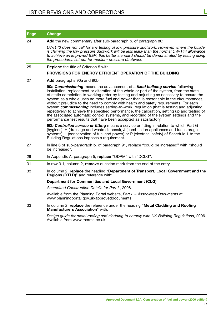| Page | <b>Change</b>                                                                                                                                                                                                                                                                                                                                                                                                                                                                                                                                                                                                                                                                                                                                                                                                            |
|------|--------------------------------------------------------------------------------------------------------------------------------------------------------------------------------------------------------------------------------------------------------------------------------------------------------------------------------------------------------------------------------------------------------------------------------------------------------------------------------------------------------------------------------------------------------------------------------------------------------------------------------------------------------------------------------------------------------------------------------------------------------------------------------------------------------------------------|
| 24   | Add the new commentary after sub-paragraph b. of paragraph 80:                                                                                                                                                                                                                                                                                                                                                                                                                                                                                                                                                                                                                                                                                                                                                           |
|      | DW/143 does not call for any testing of low pressure ductwork. However, where the builder<br>is claiming the low pressure ductwork will be less leaky than the normal DW/144 allowance<br>to achieve an improved BER, this better standard should be demonstrated by testing using<br>the procedures set out for medium pressure ductwork.                                                                                                                                                                                                                                                                                                                                                                                                                                                                               |
| 25   | <b>Replace</b> the title of Criterion 5 with:                                                                                                                                                                                                                                                                                                                                                                                                                                                                                                                                                                                                                                                                                                                                                                            |
|      | PROVISIONS FOR ENERGY EFFICIENT OPERATION OF THE BUILDING                                                                                                                                                                                                                                                                                                                                                                                                                                                                                                                                                                                                                                                                                                                                                                |
| 27   | Add paragraphs 90a and 90b:                                                                                                                                                                                                                                                                                                                                                                                                                                                                                                                                                                                                                                                                                                                                                                                              |
|      | 90a Commissioning means the advancement of a fixed building service following<br>installation, replacement or alteration of the whole or part of the system, from the state<br>of static completion to working order by testing and adjusting as necessary to ensure the<br>system as a whole uses no more fuel and power than is reasonable in the circumstances,<br>without prejudice to the need to comply with health and safety requirements. For each<br>system commissioning includes setting-to-work, regulation (that is testing and adjusting<br>repetitively) to achieve the specified performance, the calibration, setting up and testing of<br>the associated automatic control systems, and recording of the system settings and the<br>performance test results that have been accepted as satisfactory. |
|      | 90b Controlled service or fitting means a service or fitting in relation to which Part G<br>(hygiene), H (drainage and waste disposal), J (combustion appliances and fuel storage<br>systems), L (conservation of fuel and power) or P (electrical safety) of Schedule 1 to the<br>Building Regulations imposes a requirement.                                                                                                                                                                                                                                                                                                                                                                                                                                                                                           |
| 27   | In line 6 of sub-paragraph b. of paragraph 91, replace "could be increased" with "should<br>be increased".                                                                                                                                                                                                                                                                                                                                                                                                                                                                                                                                                                                                                                                                                                               |
| 29   | In Appendix A, paragraph 5, replace "ODPM" with "DCLG".                                                                                                                                                                                                                                                                                                                                                                                                                                                                                                                                                                                                                                                                                                                                                                  |
| 31   | In row 3.1, column 2, remove question mark from the end of the entry.                                                                                                                                                                                                                                                                                                                                                                                                                                                                                                                                                                                                                                                                                                                                                    |
| 33   | In column 2, replace the heading "Department of Transport, Local Government and the<br>Regions (DTLR)" and reference with:                                                                                                                                                                                                                                                                                                                                                                                                                                                                                                                                                                                                                                                                                               |
|      | Department for Communities and Local Government (CLG)                                                                                                                                                                                                                                                                                                                                                                                                                                                                                                                                                                                                                                                                                                                                                                    |
|      | Accredited Construction Details for Part L, 2006.                                                                                                                                                                                                                                                                                                                                                                                                                                                                                                                                                                                                                                                                                                                                                                        |
|      | Available from the Planning Portal website, Part L - Associated Documents at:<br>www.planningportal.gov.uk/approveddocuments.                                                                                                                                                                                                                                                                                                                                                                                                                                                                                                                                                                                                                                                                                            |
| 33   | In column 2, replace the reference under the heading "Metal Cladding and Roofing<br>Manufacturers Association" with:                                                                                                                                                                                                                                                                                                                                                                                                                                                                                                                                                                                                                                                                                                     |
|      | Design guide for metal roofing and cladding to comply with UK Building Regulations, 2006.<br>Available from www.mcrma.co.uk.                                                                                                                                                                                                                                                                                                                                                                                                                                                                                                                                                                                                                                                                                             |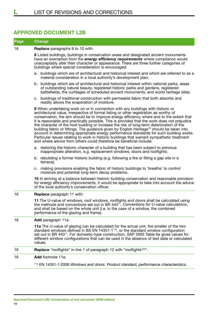## **Approved Document L2B**

| Page | <b>Change</b>                                                                                                                                                                                                                                                                                                                                                                                                                                                                                                                                                                                                                                                                                                                                                                                                                                   |  |  |
|------|-------------------------------------------------------------------------------------------------------------------------------------------------------------------------------------------------------------------------------------------------------------------------------------------------------------------------------------------------------------------------------------------------------------------------------------------------------------------------------------------------------------------------------------------------------------------------------------------------------------------------------------------------------------------------------------------------------------------------------------------------------------------------------------------------------------------------------------------------|--|--|
| 16   | Replace paragraphs 8 to 10 with:                                                                                                                                                                                                                                                                                                                                                                                                                                                                                                                                                                                                                                                                                                                                                                                                                |  |  |
|      | 8 Listed buildings, buildings in conservation areas and designated ancient monuments<br>have an exemption from the <b>energy efficiency requirements</b> where compliance would<br>unacceptably alter their character or appearance. There are three further categories of<br>buildings where special consideration is encouraged:                                                                                                                                                                                                                                                                                                                                                                                                                                                                                                              |  |  |
|      | buildings which are of architectural and historical interest and which are referred to as a<br>а.<br>material consideration in a local authority's development plan;                                                                                                                                                                                                                                                                                                                                                                                                                                                                                                                                                                                                                                                                            |  |  |
|      | b. buildings which are of architectural and historical interest within national parks, areas<br>of outstanding natural beauty, registered historic parks and gardens, registered<br>battlefields, the curtilages of scheduled ancient monuments, and world heritage sites;                                                                                                                                                                                                                                                                                                                                                                                                                                                                                                                                                                      |  |  |
|      | buildings of traditional construction with permeable fabric that both absorbs and<br>C.<br>readily allows the evaporation of moisture.                                                                                                                                                                                                                                                                                                                                                                                                                                                                                                                                                                                                                                                                                                          |  |  |
|      | 9 When undertaking work on or in connection with any buildings with historic or<br>architectural value, irrespective of formal listing or other registration as worthy of<br>conservation, the aim should be to improve energy efficiency where and to the extent that<br>it is reasonable and practically possible. This is provided that the work does not prejudice<br>the character of the host building or increase the risk of long-term deterioration of the<br>building fabric or fittings. The guidance given by English Heritage <sup>10</sup> should be taken into<br>account in determining appropriate energy performance standards for such building works.<br>Particular issues relating to work in historic buildings that warrant sympathetic treatment<br>and where advice from others could therefore be beneficial include: |  |  |
|      | a. restoring the historic character of a building that has been subject to previous<br>inappropriate alteration, e.g. replacement windows, doors and rooflights;                                                                                                                                                                                                                                                                                                                                                                                                                                                                                                                                                                                                                                                                                |  |  |
|      | b. rebuilding a former historic building (e.g. following a fire or filling a gap site in a<br>terrace);                                                                                                                                                                                                                                                                                                                                                                                                                                                                                                                                                                                                                                                                                                                                         |  |  |
|      | c. making provisions enabling the fabric of historic buildings to 'breathe' to control<br>moisture and potential long-term decay problems.                                                                                                                                                                                                                                                                                                                                                                                                                                                                                                                                                                                                                                                                                                      |  |  |
|      | 10 In arriving at a balance between historic building conservation and reasonable provision<br>for energy efficiency improvements, it would be appropriate to take into account the advice<br>of the local authority's conservation officer.                                                                                                                                                                                                                                                                                                                                                                                                                                                                                                                                                                                                    |  |  |
| 16   | Replace paragraph 11 with:                                                                                                                                                                                                                                                                                                                                                                                                                                                                                                                                                                                                                                                                                                                                                                                                                      |  |  |
|      | 11 The U-value of windows, roof windows, rooflights and doors shall be calculated using<br>the methods and conventions set out in BR 443 <sup>11</sup> , Conventions for U-value calculations,<br>and shall be based on the whole unit (i.e. in the case of a window, the combined<br>performance of the glazing and frame).                                                                                                                                                                                                                                                                                                                                                                                                                                                                                                                    |  |  |
| 16   | Add paragraph 11a:                                                                                                                                                                                                                                                                                                                                                                                                                                                                                                                                                                                                                                                                                                                                                                                                                              |  |  |
|      | 11a The U-value of glazing can be calculated for the actual unit, the smaller of the two<br>standard windows defined in BS EN 14351-1 <sup>11a</sup> , or the standard window configuration<br>set out in BR 443 <sup>11</sup> . For domestic-type construction, SAP 2005 Table 6e gives values for<br>different window configurations that can be used in the absence of test data or calculated<br>values.                                                                                                                                                                                                                                                                                                                                                                                                                                    |  |  |
| 16   | <b>Replace</b> "rooflights" in line 1 of paragraph 12 with "rooflights <sup>12a"</sup> .                                                                                                                                                                                                                                                                                                                                                                                                                                                                                                                                                                                                                                                                                                                                                        |  |  |
| 16   | Add footnote 11a:                                                                                                                                                                                                                                                                                                                                                                                                                                                                                                                                                                                                                                                                                                                                                                                                                               |  |  |
|      | <sup>11a</sup> EN 14351-1:2006 Windows and doors. Product standard, performance characteristics.                                                                                                                                                                                                                                                                                                                                                                                                                                                                                                                                                                                                                                                                                                                                                |  |  |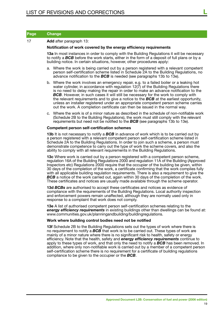| Page | ∣Change <sup>∣</sup> |
|------|----------------------|
|------|----------------------|

#### 17 **Add** after paragraph 13:

#### **Notification of work covered by the energy efficiency requirements**

**13a** In most instances in order to comply with the Building Regulations it will be necessary to notify a *BCB* before the work starts, either in the form of a deposit of full plans or by a building notice. In certain situations, however, other procedures apply:

- a. Where the work is being carried out by a person registered with a relevant competent person self-certification scheme listed in Schedule 2A to the Building Regulations, no advance notification to the *BCB* is needed (see paragraphs 13b to 13e).
- b. Where the work involves an emergency repair, e.g. to a failed boiler or a leaking hot water cylinder, in accordance with regulation 12(7) of the Building Regulations there is no need to delay making the repair in order to make an advance notification to the *BCB*. However, in such cases it will still be necessary for the work to comply with the relevant requirements and to give a notice to the *BCB* at the earliest opportunity, unless an installer registered under an appropriate competent person scheme carries out the work. A completion certificate can then be issued in the normal way.
- c. Where the work is of a minor nature as described in the schedule of non-notifiable work (Schedule 2B to the Building Regulations), the work must still comply with the relevant requirements but need not be notified to the *BCB* (see paragraphs 13b to 13e).

#### **Competent person self-certification schemes**

**13b** It is not necessary to notify a **BCB** in advance of work which is to be carried out by a person registered with a relevant competent person self-certification scheme listed in Schedule 2A to the Building Regulations. In order to join such a scheme, a person must demonstrate competence to carry out the type of work the scheme covers, and also the ability to comply with all relevant requirements in the Building Regulations.

**13c** Where work is carried out by a person registered with a competent person scheme, regulation 16A of the Building Regulations 2000 and regulation 11A of the Building (Approved Inspectors etc) Regulations 2000 require that the occupier of the building be given, within 30 days of the completion of the work, a certificate confirming that the work complies fully with all applicable building regulation requirements. There is also a requirement to give the **BCB** a notice of the work carried out, again within 30 days of the completion of the work. These certificates and notices are usually made available through the scheme operator.

**13d** *BCBs* are authorised to accept these certificates and notices as evidence of compliance with the requirements of the Building Regulations. Local authority inspection and enforcement powers remain unaffected, although they are normally used only in response to a complaint that work does not comply.

**13e** A list of authorised competent person self-certification schemes relating to the *energy efficiency requirements* in existing buildings other than dwellings can be found at: www.communities.gov.uk/planningandbuilding/buildingregulations.

#### **Work where building control bodies need not be notified**

**13f** Schedule 2B to the Building Regulations sets out the types of work where there is no requirement to notify a *BCB* that work is to be carried out. These types of work are mainly of a minor nature where there is no significant risk to health, safety or energy efficiency. Note that the health, safety and *energy efficiency requirements* continue to apply to these types of work, and that only the need to notify a *BCB* has been removed. In addition, where only non-notifiable work is carried out by a member of a competent person self-certification scheme there is no requirement for a certificate of building regulations compliance to be given to the occupier or the *BCB*.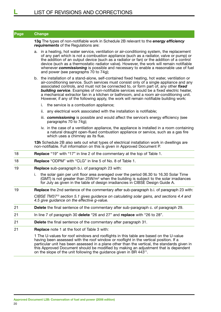**13g** The types of non-notifiable work in Schedule 2B relevant to the *energy efficiency requirements* of the Regulations are:

- a. in a heating, hot water service, ventilation or air-conditioning system, the replacement of any part which is not a combustion appliance (such as a radiator, valve or pump) or the addition of an output device (such as a radiator or fan) or the addition of a control device (such as a thermostatic radiator valve). However, the work will remain notifiable whenever *commissioning* is possible and necessary to enable a reasonable use of fuel and power (see paragraphs 70 to 74g);
- b. the installation of a stand-alone, self-contained fixed heating, hot water, ventilation or air-conditioning service. Such services must consist only of a single appliance and any associated controls, and must not be connected to, or form part of, any other *fixed building service*. Examples of non-notifiable services would be a fixed electric heater, a mechanical extractor fan in a kitchen or bathroom, and a room air-conditioning unit. However, if any of the following apply, the work will remain notifiable building work:
	- i. the service is a combustion appliance;
	- ii. any electrical work associated with the installation is notifiable;
	- iii. *commissioning* is possible and would affect the service's energy efficiency (see paragraphs 70 to 74g);
	- iv. in the case of a ventilation appliance, the appliance is installed in a room containing a natural draught open-flued combustion appliance or service, such as a gas fire which uses a chimney as its flue.

**13h** Schedule 2B also sets out what types of electrical installation work in dwellings are non-notifiable. Full information on this is given in Approved Document P.

| 18 | <b>Replace "19"</b> with "17" in line 2 of the commentary at the top of Table 1.                                                                                                                                                                                                                                                                                      |  |  |
|----|-----------------------------------------------------------------------------------------------------------------------------------------------------------------------------------------------------------------------------------------------------------------------------------------------------------------------------------------------------------------------|--|--|
| 18 | <b>Replace "ODPM"</b> with "CLG" in line 5 of No. 8 of Table 1.                                                                                                                                                                                                                                                                                                       |  |  |
| 19 | <b>Replace</b> sub-paragraph b.i. of paragraph 23 with:                                                                                                                                                                                                                                                                                                               |  |  |
|    | the solar gain per unit floor area averaged over the period 06.30 to 16.30 Solar Time<br>i.<br>(GMT) is not greater than $25W/m^2$ when the building is subject to the solar irradiances<br>for July as given in the table of design irradiancies in CIBSE Design Guide A.                                                                                            |  |  |
| 19 | <b>Replace</b> the 2nd sentence of the commentary after sub-paragraph b.i. of paragraph 23 with:                                                                                                                                                                                                                                                                      |  |  |
|    | CIBSE TM37 <sup>15</sup> section 5.1 gives guidance on calculating solar gains, and sections 4.4 and<br>4.5 give guidance on the effective g-value.                                                                                                                                                                                                                   |  |  |
| 21 | <b>Delete</b> the final sentence of the commentary after sub-paragraph c. of paragraph 29.                                                                                                                                                                                                                                                                            |  |  |
| 21 | In line 7 of paragraph 30 delete "26 and 27" and replace with "26 to 28".                                                                                                                                                                                                                                                                                             |  |  |
| 21 | <b>Delete</b> the final sentence of the commentary after paragraph 31.                                                                                                                                                                                                                                                                                                |  |  |
| 21 | <b>Replace</b> note 1 at the foot of Table 3 with:                                                                                                                                                                                                                                                                                                                    |  |  |
|    | 1 The U-values for roof windows and rooflights in this table are based on the U-value<br>having been assessed with the roof window or rooflight in the vertical position. If a<br>particular unit has been assessed in a plane other than the vertical, the standards given in<br>this Approved Document should be modified by making an adjustment that is dependent |  |  |

on the slope of the unit following the guidance given in BR 443<sup>11</sup>.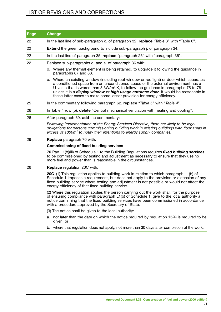# List of revisions and corrections **L**

| <b>Page</b> | <b>Change</b>                                                                                                                                                                                                                                                                                                                                                                                                                                             |  |  |
|-------------|-----------------------------------------------------------------------------------------------------------------------------------------------------------------------------------------------------------------------------------------------------------------------------------------------------------------------------------------------------------------------------------------------------------------------------------------------------------|--|--|
| 22          | In the last line of sub-paragraph c. of paragraph 32, replace "Table 3" with "Table 6".                                                                                                                                                                                                                                                                                                                                                                   |  |  |
| 22          | <b>Extend</b> the green background to include sub-paragraph j. of paragraph 34.                                                                                                                                                                                                                                                                                                                                                                           |  |  |
| 22          | In the last line of paragraph 35, replace "paragraph 25" with "paragraph 36".                                                                                                                                                                                                                                                                                                                                                                             |  |  |
| 22          | Replace sub-paragraphs d. and e. of paragraph 36 with:                                                                                                                                                                                                                                                                                                                                                                                                    |  |  |
|             | d. Where any thermal element is being retained, to upgrade it following the guidance in<br>paragraphs 87 and 88.                                                                                                                                                                                                                                                                                                                                          |  |  |
|             | e. Where an existing window (including roof window or rooflight) or door which separates<br>a conditioned space from an unconditioned space or the external environment has a<br>U-value that is worse than $3.3W/m2$ .K, to follow the guidance in paragraphs 75 to 78<br>unless it is a <i>display window</i> or <i>high usage entrance door</i> . It would be reasonable in<br>these latter cases to make some lesser provision for energy efficiency. |  |  |
| 25          | In the commentary following paragraph 62, replace "Table 5" with "Table 4".                                                                                                                                                                                                                                                                                                                                                                               |  |  |
| 26          | In Table 4 row (b), delete "Central mechanical ventilation with heating and cooling".                                                                                                                                                                                                                                                                                                                                                                     |  |  |
| 26          | After paragraph 69, add the commentary:                                                                                                                                                                                                                                                                                                                                                                                                                   |  |  |
|             | Following implementation of the Energy Services Directive, there are likely to be legal<br>obligations for persons commissioning building work in existing buildings with floor areas in<br>excess of 1000m <sup>2</sup> to notify their intentions to energy supply companies.                                                                                                                                                                           |  |  |
| 26          | <b>Replace</b> paragraph 70 with:                                                                                                                                                                                                                                                                                                                                                                                                                         |  |  |
|             | <b>Commissioning of fixed building services</b>                                                                                                                                                                                                                                                                                                                                                                                                           |  |  |
|             | 70 Part L1(b)(iii) of Schedule 1 to the Building Regulations requires fixed building services<br>to be commissioned by testing and adjustment as necessary to ensure that they use no<br>more fuel and power than is reasonable in the circumstances.                                                                                                                                                                                                     |  |  |
| 26          | <b>Replace</b> regulation 20C with:                                                                                                                                                                                                                                                                                                                                                                                                                       |  |  |
|             | 20C-(1) This regulation applies to building work in relation to which paragraph L1(b) of<br>Schedule 1 imposes a requirement, but does not apply to the provision or extension of any<br>fixed building service where testing and adjustment is not possible or would not affect the<br>energy efficiency of that fixed building service.                                                                                                                 |  |  |
|             | (2) Where this regulation applies the person carrying out the work shall, for the purpose<br>of ensuring compliance with paragraph L1(b) of Schedule 1, give to the local authority a<br>notice confirming that the fixed building services have been commissioned in accordance<br>with a procedure approved by the Secretary of State.                                                                                                                  |  |  |
|             | (3) The notice shall be given to the local authority:                                                                                                                                                                                                                                                                                                                                                                                                     |  |  |
|             | a. not later than the date on which the notice required by regulation 15(4) is required to be                                                                                                                                                                                                                                                                                                                                                             |  |  |

- given; or
- b. where that regulation does not apply, not more than 30 days after completion of the work.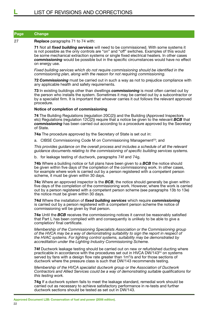#### 27 **Replace** paragraphs 71 to 74 with:

**71** Not all *fixed building services* will need to be commissioned. With some systems it is not possible as the only controls are "on" and "off" switches. Examples of this would be some mechanical extraction systems or single fixed electrical heaters. In other cases *commissioning* would be possible but in the specific circumstances would have no effect on energy use.

*Fixed building services which do not require commissioning should be identified in the commissioning plan, along with the reason for not requiring commissioning.*

**72** *Commissioning* must be carried out in such a way as not to prejudice compliance with any applicable health and safety requirements.

**73** In existing buildings other than dwellings *commissioning* is most often carried out by the person who installs the system. Sometimes it may be carried out by a subcontractor or by a specialist firm. It is important that whoever carries it out follows the relevant approved procedure.

#### **Notice of completion of commissioning**

**74** The Building Regulations (regulation 20C(2)) and the Building (Approved Inspectors etc) Regulations (regulation 12C(2)) require that a notice be given to the relevant *BCB* that *commissioning* has been carried out according to a procedure approved by the Secretary of State.

**74a** The procedure approved by the Secretary of State is set out in:

a. CIBSE Commissioning Code M on Commissioning Management<sup>23</sup>; and

*This provides guidance on the overall process and includes a schedule of all the relevant guidance documents relating to the commissioning of specific building services systems.*

b. for leakage testing of ductwork, paragraphs 74f and 74g.

**74b** Where a building notice or full plans have been given to a *BCB* the notice should be given within five days of the completion of the commissioning work. In other cases, for example where work is carried out by a person registered with a competent person scheme, it must be given within 30 days.

**74c** Where an approved inspector is the *BCB*, the notice should generally be given within five days of the completion of the commissioning work. However, where the work is carried out by a person registered with a competent person scheme (see paragraphs 13b to 13e) the notice must be given within 30 days.

**74d** Where the installation of *fixed building services* which require *commissioning* is carried out by a person registered with a competent person scheme the notice of commissioning will be given by that person.

**74e** Until the *BCB* receives the commissioning notices it cannot be reasonably satisfied that Part L has been complied with and consequently is unlikely to be able to give a completion/ final certificate.

*Membership of the Commissioning Specialists Association or the Commissioning group of the HVCA may be a way of demonstrating suitability to sign the report in respect of the HVAC systems. For lighting control systems, suitability may be demonstrated by accreditation under the Lighting Industry Commissioning Scheme.*

**74f** Ductwork leakage testing should be carried out on new or refurbished ducting where practicable in accordance with the procedures set out in HVCA DW/143<sup>24</sup> on systems served by fans with a design flow rate greater than 1m<sup>3</sup>/s and for those sections of ductwork where the pressure class is such that DW/143 recommends testing.

*Membership of the HVCA specialist ductwork group or the Association of Ductwork Contractors and Allied Services could be a way of demonstrating suitable qualifications for this testing work.*

**74g** If a ductwork system fails to meet the leakage standard, remedial work should be carried out as necessary to achieve satisfactory performance in re-tests and further ductwork sections should be tested as set out in DW/143.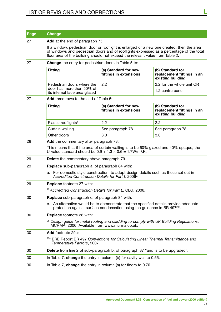| Page | <b>Change</b>                                                                                                                                                                                                                                                          |                                                |                                                                     |  |
|------|------------------------------------------------------------------------------------------------------------------------------------------------------------------------------------------------------------------------------------------------------------------------|------------------------------------------------|---------------------------------------------------------------------|--|
| 27   | Add at the end of paragraph 75:                                                                                                                                                                                                                                        |                                                |                                                                     |  |
|      | If a window, pedestrian door or rooflight is enlarged or a new one created, then the area<br>of windows and pedestrian doors and of rooflights expressed as a percentage of the total<br>floor area of the building should not exceed the relevant value from Table 2. |                                                |                                                                     |  |
| 27   | <b>Change</b> the entry for pedestrian doors in Table 5 to:                                                                                                                                                                                                            |                                                |                                                                     |  |
|      | <b>Fitting</b>                                                                                                                                                                                                                                                         | (a) Standard for new<br>fittings in extensions | (b) Standard for<br>replacement fittings in an<br>existing building |  |
|      | Pedestrian doors where the                                                                                                                                                                                                                                             | 2.2                                            | 2.2 for the whole unit OR                                           |  |
|      | door has more than 50% of<br>its internal face area glazed                                                                                                                                                                                                             |                                                | 1.2 centre pane                                                     |  |
| 27   | <b>Add</b> three rows to the end of Table 5:                                                                                                                                                                                                                           |                                                |                                                                     |  |
|      | <b>Fitting</b>                                                                                                                                                                                                                                                         | (a) Standard for new<br>fittings in extensions | (b) Standard for<br>replacement fittings in an<br>existing building |  |
|      | Plastic rooflights <sup>4</sup>                                                                                                                                                                                                                                        | 2.2                                            | 2.2                                                                 |  |
|      | Curtain walling                                                                                                                                                                                                                                                        | See paragraph 78                               | See paragraph 78                                                    |  |
|      | Other doors                                                                                                                                                                                                                                                            | 3.0                                            | 3.0                                                                 |  |
| 28   | Add the commentary after paragraph 78:                                                                                                                                                                                                                                 |                                                |                                                                     |  |
|      | This means that if the area of curtain walling is to be 60% glazed and 40% opaque, the<br>U-value standard should be $0.9 + 1.3 \times 0.6 = 1.7 W/m^2$ .K.                                                                                                            |                                                |                                                                     |  |
| 29   | <b>Delete</b> the commentary above paragraph 79.                                                                                                                                                                                                                       |                                                |                                                                     |  |
| 29   | <b>Replace</b> sub-paragraph a. of paragraph 84 with:                                                                                                                                                                                                                  |                                                |                                                                     |  |
|      | a. For domestic style construction, to adopt design details such as those set out in<br>Accredited Construction Details for Part L 2006 <sup>27</sup> ;                                                                                                                |                                                |                                                                     |  |
| 29   | <b>Replace footnote 27 with:</b>                                                                                                                                                                                                                                       |                                                |                                                                     |  |
|      | <sup>27</sup> Accredited Construction Details for Part L, CLG, 2006.                                                                                                                                                                                                   |                                                |                                                                     |  |
| 30   | <b>Replace</b> sub-paragraph c. of paragraph 84 with:                                                                                                                                                                                                                  |                                                |                                                                     |  |
|      | c. An alternative would be to demonstrate that the specified details provide adequate<br>protection against surface condensation using the quidance in BR 497 <sup>29a</sup> .                                                                                         |                                                |                                                                     |  |
| 30   | <b>Replace footnote 28 with:</b>                                                                                                                                                                                                                                       |                                                |                                                                     |  |
|      | <sup>28</sup> Design guide for metal roofing and cladding to comply with UK Building Regulations,<br>MCRMA, 2006. Available from www.mcrma.co.uk.                                                                                                                      |                                                |                                                                     |  |
| 30   | Add footnote 29a:                                                                                                                                                                                                                                                      |                                                |                                                                     |  |
|      | <sup>29a</sup> BRE Report BR 497 Conventions for Calculating Linear Thermal Transmittance and<br>Temperature Factors, 2007.                                                                                                                                            |                                                |                                                                     |  |
| 30   | Delete from line 2 of sub-paragraph b. of paragraph 87 "and is to be upgraded".                                                                                                                                                                                        |                                                |                                                                     |  |
| 30   | In Table 7, change the entry in column (b) for cavity wall to 0.55.                                                                                                                                                                                                    |                                                |                                                                     |  |
| 30   | In Table 7, change the entry in column (a) for floors to $0.70$ .                                                                                                                                                                                                      |                                                |                                                                     |  |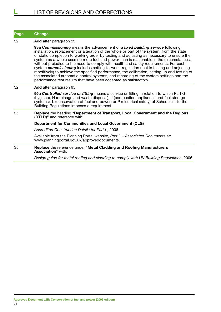| Page | <b>Change</b>                                                                                                                                                                                                                                                                                                                                                                                                                                                                                                                                                                                                                                                                                                                                                                                                            |  |  |
|------|--------------------------------------------------------------------------------------------------------------------------------------------------------------------------------------------------------------------------------------------------------------------------------------------------------------------------------------------------------------------------------------------------------------------------------------------------------------------------------------------------------------------------------------------------------------------------------------------------------------------------------------------------------------------------------------------------------------------------------------------------------------------------------------------------------------------------|--|--|
| 32   | <b>Add</b> after paragraph 93:                                                                                                                                                                                                                                                                                                                                                                                                                                                                                                                                                                                                                                                                                                                                                                                           |  |  |
|      | 93a Commissioning means the advancement of a fixed building service following<br>installation, replacement or alteration of the whole or part of the system, from the state<br>of static completion to working order by testing and adjusting as necessary to ensure the<br>system as a whole uses no more fuel and power than is reasonable in the circumstances,<br>without prejudice to the need to comply with health and safety requirements. For each<br>system commissioning includes setting-to-work, regulation (that is testing and adjusting<br>repetitively) to achieve the specified performance, the calibration, setting up and testing of<br>the associated automatic control systems, and recording of the system settings and the<br>performance test results that have been accepted as satisfactory. |  |  |
| 32   | Add after paragraph 95:                                                                                                                                                                                                                                                                                                                                                                                                                                                                                                                                                                                                                                                                                                                                                                                                  |  |  |
|      | 95a Controlled service or fitting means a service or fitting in relation to which Part G<br>(hygiene), H (drainage and waste disposal), J (combustion appliances and fuel storage<br>systems), L (conservation of fuel and power) or P (electrical safety) of Schedule 1 to the<br>Building Regulations imposes a requirement.                                                                                                                                                                                                                                                                                                                                                                                                                                                                                           |  |  |
| 35   | Replace the heading "Department of Transport, Local Government and the Regions<br>(DTLR)" and reference with:                                                                                                                                                                                                                                                                                                                                                                                                                                                                                                                                                                                                                                                                                                            |  |  |
|      | <b>Department for Communities and Local Government (CLG)</b>                                                                                                                                                                                                                                                                                                                                                                                                                                                                                                                                                                                                                                                                                                                                                             |  |  |
|      | Accredited Construction Details for Part L, 2006.                                                                                                                                                                                                                                                                                                                                                                                                                                                                                                                                                                                                                                                                                                                                                                        |  |  |
|      | Available from the Planning Portal website, Part L - Associated Documents at:<br>www.planningportal.gov.uk/approveddocuments.                                                                                                                                                                                                                                                                                                                                                                                                                                                                                                                                                                                                                                                                                            |  |  |
| 35   | Replace the reference under "Metal Cladding and Roofing Manufacturers<br><b>Association</b> " with:                                                                                                                                                                                                                                                                                                                                                                                                                                                                                                                                                                                                                                                                                                                      |  |  |
|      | Design guide for metal roofing and cladding to comply with UK Building Regulations, 2006.                                                                                                                                                                                                                                                                                                                                                                                                                                                                                                                                                                                                                                                                                                                                |  |  |